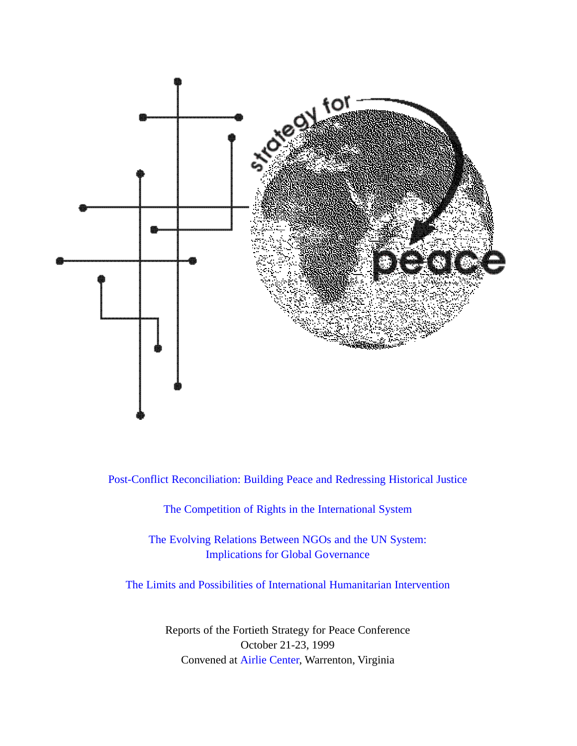

[Post-Conflict Reconciliation: Building Peace and Redressing Historical Justice](#page-8-0)

[The Competition of Rights in the International System](#page-22-0)

[The Evolving Relations Between NGOs and the UN System:](#page-30-0)  Implications for Global Governance

[The Limits and Possibilities of International Humanitarian Intervention](#page-38-0)

Reports of the Fortieth Strategy for Peace Conference October 21-23, 1999 Convened at [Airlie Center,](http://www.airlie.com) Warrenton, Virginia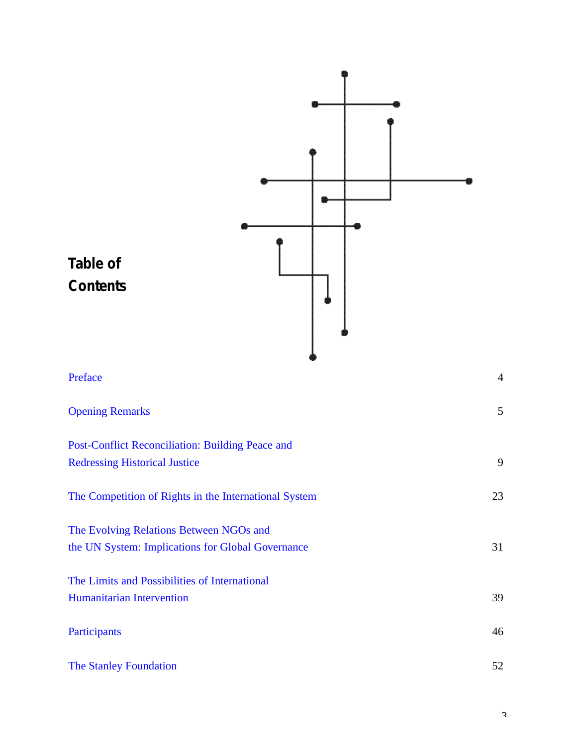

3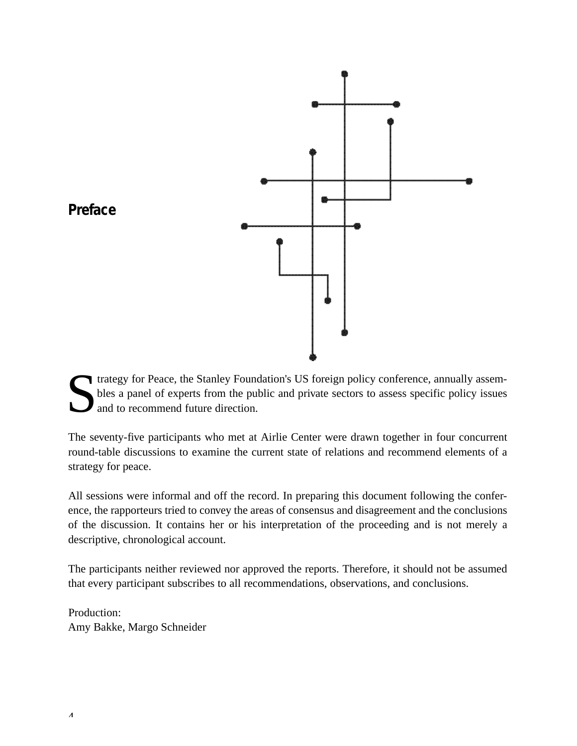<span id="page-3-0"></span>

S If trategy for Peace, the Stanley Foundation's US foreign policy conference, annually assembles a panel of experts from the public and private sectors to assess specific policy issues and to recommend future direction.

The seventy-five participants who met at Airlie Center were drawn together in four concurrent round-table discussions to examine the current state of relations and recommend elements of a strategy for peace.

All sessions were informal and off the record. In preparing this document following the conference, the rapporteurs tried to convey the areas of consensus and disagreement and the conclusions of the discussion. It contains her or his interpretation of the proceeding and is not merely a descriptive, chronological account.

The participants neither reviewed nor approved the reports. Therefore, it should not be assumed that every participant subscribes to all recommendations, observations, and conclusions.

Production: Amy Bakke, Margo Schneider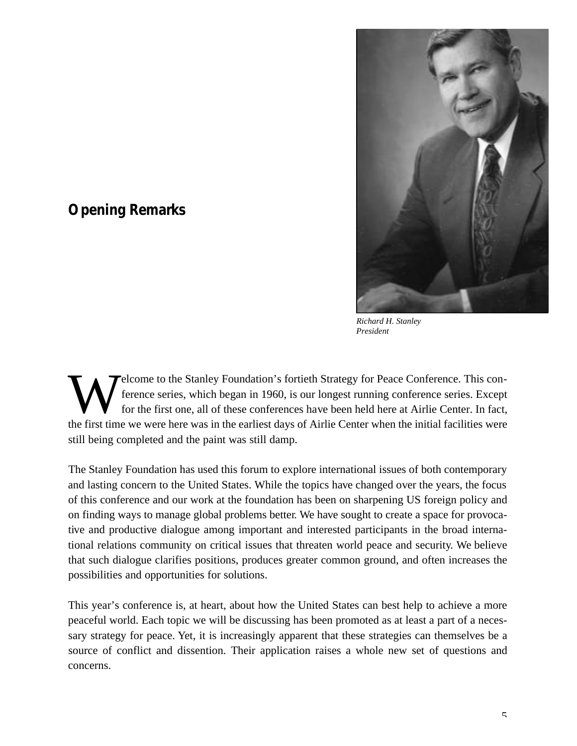

*Richard H. Stanley President*

W elcome to the Stanley Foundation's fortieth Strategy for Peace Conference. This conference series, which began in 1960, is our longest running conference series. Except for the first one, all of these conferences have be elcome to the Stanley Foundation's fortieth Strategy for Peace Conference. This conference series, which began in 1960, is our longest running conference series. Except for the first one, all of these conferences have been held here at Airlie Center. In fact, still being completed and the paint was still damp.

<span id="page-4-0"></span>**Opening Remarks**

The Stanley Foundation has used this forum to explore international issues of both contemporary and lasting concern to the United States. While the topics have changed over the years, the focus of this conference and our work at the foundation has been on sharpening US foreign policy and on finding ways to manage global problems better. We have sought to create a space for provocative and productive dialogue among important and interested participants in the broad international relations community on critical issues that threaten world peace and security. We believe that such dialogue clarifies positions, produces greater common ground, and often increases the possibilities and opportunities for solutions.

This year's conference is, at heart, about how the United States can best help to achieve a more peaceful world. Each topic we will be discussing has been promoted as at least a part of a necessary strategy for peace. Yet, it is increasingly apparent that these strategies can themselves be a source of conflict and dissention. Their application raises a whole new set of questions and concerns.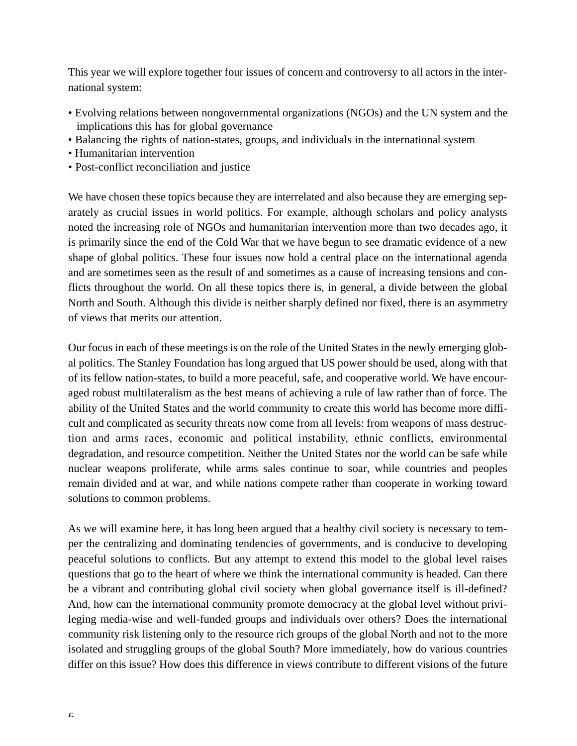This year we will explore together four issues of concern and controversy to all actors in the international system:

- Evolving relations between nongovernmental organizations (NGOs) and the UN system and the implications this has for global governance
- Balancing the rights of nation-states, groups, and individuals in the international system
- Humanitarian intervention
- Post-conflict reconciliation and justice

We have chosen these topics because they are interrelated and also because they are emerging separately as crucial issues in world politics. For example, although scholars and policy analysts noted the increasing role of NGOs and humanitarian intervention more than two decades ago, it is primarily since the end of the Cold War that we have begun to see dramatic evidence of a new shape of global politics. These four issues now hold a central place on the international agenda and are sometimes seen as the result of and sometimes as a cause of increasing tensions and conflicts throughout the world. On all these topics there is, in general, a divide between the global North and South. Although this divide is neither sharply defined nor fixed, there is an asymmetry of views that merits our attention.

Our focus in each of these meetings is on the role of the United States in the newly emerging global politics. The Stanley Foundation has long argued that US power should be used, along with that of its fellow nation-states, to build a more peaceful, safe, and cooperative world. We have encouraged robust multilateralism as the best means of achieving a rule of law rather than of force. The ability of the United States and the world community to create this world has become more difficult and complicated as security threats now come from all levels: from weapons of mass destruction and arms races, economic and political instability, ethnic conflicts, environmental degradation, and resource competition. Neither the United States nor the world can be safe while nuclear weapons proliferate, while arms sales continue to soar, while countries and peoples remain divided and at war, and while nations compete rather than cooperate in working toward solutions to common problems.

As we will examine here, it has long been argued that a healthy civil society is necessary to temper the centralizing and dominating tendencies of governments, and is conducive to developing peaceful solutions to conflicts. But any attempt to extend this model to the global level raises questions that go to the heart of where we think the international community is headed. Can there be a vibrant and contributing global civil society when global governance itself is ill-defined? And, how can the international community promote democracy at the global level without privileging media-wise and well-funded groups and individuals over others? Does the international community risk listening only to the resource rich groups of the global North and not to the more isolated and struggling groups of the global South? More immediately, how do various countries differ on this issue? How does this difference in views contribute to different visions of the future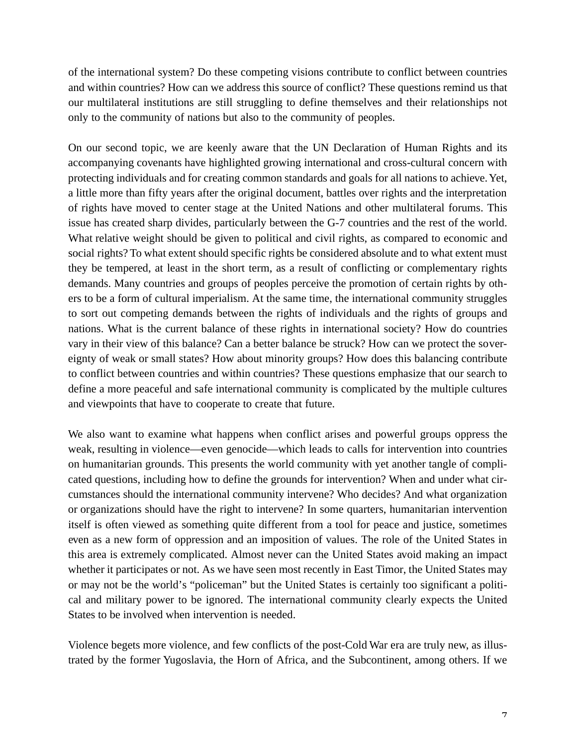of the international system? Do these competing visions contribute to conflict between countries and within countries? How can we address this source of conflict? These questions remind us that our multilateral institutions are still struggling to define themselves and their relationships not only to the community of nations but also to the community of peoples.

On our second topic, we are keenly aware that the UN Declaration of Human Rights and its accompanying covenants have highlighted growing international and cross-cultural concern with protecting individuals and for creating common standards and goals for all nations to achieve. Yet, a little more than fifty years after the original document, battles over rights and the interpretation of rights have moved to center stage at the United Nations and other multilateral forums. This issue has created sharp divides, particularly between the G-7 countries and the rest of the world. What relative weight should be given to political and civil rights, as compared to economic and social rights? To what extent should specific rights be considered absolute and to what extent must they be tempered, at least in the short term, as a result of conflicting or complementary rights demands. Many countries and groups of peoples perceive the promotion of certain rights by others to be a form of cultural imperialism. At the same time, the international community struggles to sort out competing demands between the rights of individuals and the rights of groups and nations. What is the current balance of these rights in international society? How do countries vary in their view of this balance? Can a better balance be struck? How can we protect the sovereignty of weak or small states? How about minority groups? How does this balancing contribute to conflict between countries and within countries? These questions emphasize that our search to define a more peaceful and safe international community is complicated by the multiple cultures and viewpoints that have to cooperate to create that future.

We also want to examine what happens when conflict arises and powerful groups oppress the weak, resulting in violence—even genocide—which leads to calls for intervention into countries on humanitarian grounds. This presents the world community with yet another tangle of complicated questions, including how to define the grounds for intervention? When and under what circumstances should the international community intervene? Who decides? And what organization or organizations should have the right to intervene? In some quarters, humanitarian intervention itself is often viewed as something quite different from a tool for peace and justice, sometimes even as a new form of oppression and an imposition of values. The role of the United States in this area is extremely complicated. Almost never can the United States avoid making an impact whether it participates or not. As we have seen most recently in East Timor, the United States may or may not be the world's "policeman" but the United States is certainly too significant a political and military power to be ignored. The international community clearly expects the United States to be involved when intervention is needed.

Violence begets more violence, and few conflicts of the post-Cold War era are truly new, as illustrated by the former Yugoslavia, the Horn of Africa, and the Subcontinent, among others. If we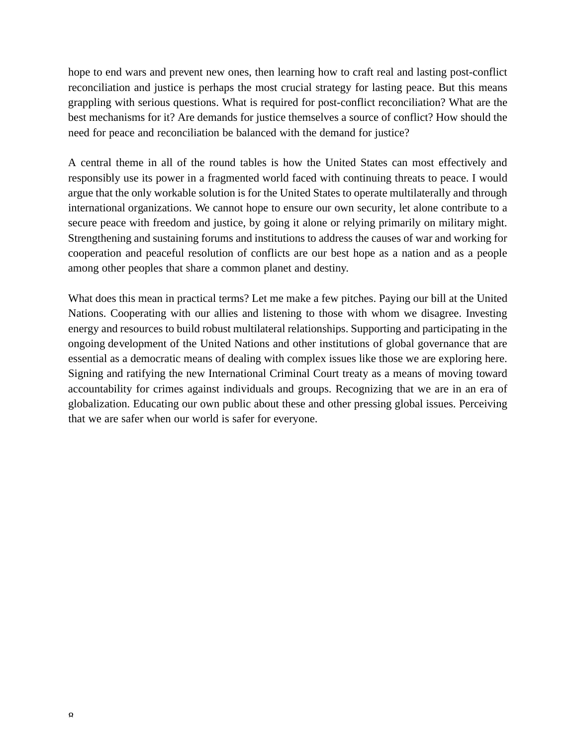hope to end wars and prevent new ones, then learning how to craft real and lasting post-conflict reconciliation and justice is perhaps the most crucial strategy for lasting peace. But this means grappling with serious questions. What is required for post-conflict reconciliation? What are the best mechanisms for it? Are demands for justice themselves a source of conflict? How should the need for peace and reconciliation be balanced with the demand for justice?

A central theme in all of the round tables is how the United States can most effectively and responsibly use its power in a fragmented world faced with continuing threats to peace. I would argue that the only workable solution is for the United States to operate multilaterally and through international organizations. We cannot hope to ensure our own security, let alone contribute to a secure peace with freedom and justice, by going it alone or relying primarily on military might. Strengthening and sustaining forums and institutions to address the causes of war and working for cooperation and peaceful resolution of conflicts are our best hope as a nation and as a people among other peoples that share a common planet and destiny.

What does this mean in practical terms? Let me make a few pitches. Paying our bill at the United Nations. Cooperating with our allies and listening to those with whom we disagree. Investing energy and resources to build robust multilateral relationships. Supporting and participating in the ongoing development of the United Nations and other institutions of global governance that are essential as a democratic means of dealing with complex issues like those we are exploring here. Signing and ratifying the new International Criminal Court treaty as a means of moving toward accountability for crimes against individuals and groups. Recognizing that we are in an era of globalization. Educating our own public about these and other pressing global issues. Perceiving that we are safer when our world is safer for everyone.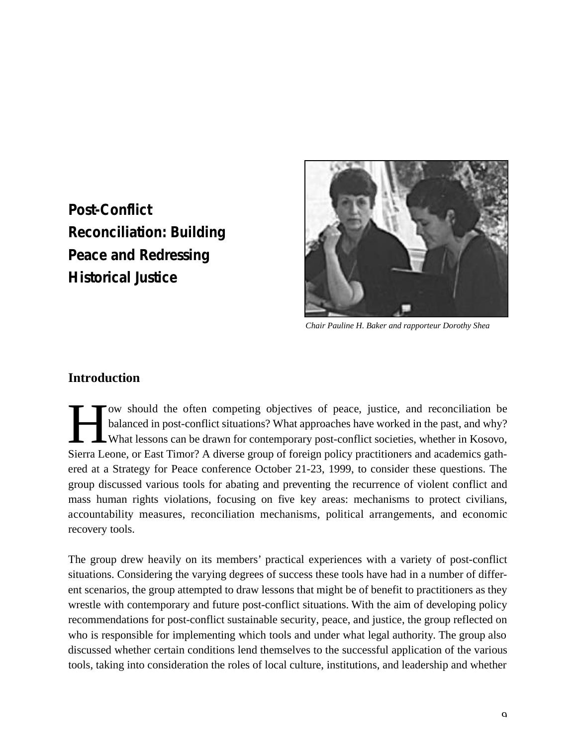<span id="page-8-0"></span>**Post-Conflict Reconciliation: Building Peace and Redressing Historical Justice**



*Chair Pauline H. Baker and rapporteur Dorothy Shea*

#### **Introduction**

I ow should the often competing objectives of peace, justice, and reconciliation be balanced in post-conflict situations? What approaches have worked in the past, and why?<br>What lessons can be drawn for contemporary post-co ow should the often competing objectives of peace, justice, and reconciliation be balanced in post-conflict situations? What approaches have worked in the past, and why? What lessons can be drawn for contemporary post-conflict societies, whether in Kosovo, ered at a Strategy for Peace conference October 21-23, 1999, to consider these questions. The group discussed various tools for abating and preventing the recurrence of violent conflict and mass human rights violations, focusing on five key areas: mechanisms to protect civilians, accountability measures, reconciliation mechanisms, political arrangements, and economic recovery tools.

The group drew heavily on its members' practical experiences with a variety of post-conflict situations. Considering the varying degrees of success these tools have had in a number of different scenarios, the group attempted to draw lessons that might be of benefit to practitioners as they wrestle with contemporary and future post-conflict situations. With the aim of developing policy recommendations for post-conflict sustainable security, peace, and justice, the group reflected on who is responsible for implementing which tools and under what legal authority. The group also discussed whether certain conditions lend themselves to the successful application of the various tools, taking into consideration the roles of local culture, institutions, and leadership and whether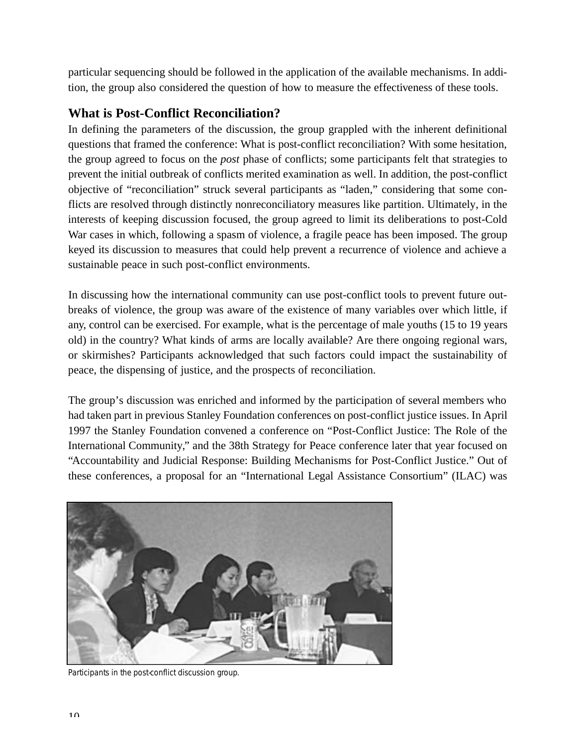particular sequencing should be followed in the application of the available mechanisms. In addition, the group also considered the question of how to measure the effectiveness of these tools.

### **What is Post-Conflict Reconciliation?**

In defining the parameters of the discussion, the group grappled with the inherent definitional questions that framed the conference: What is post-conflict reconciliation? With some hesitation, the group agreed to focus on the *post* phase of conflicts; some participants felt that strategies to prevent the initial outbreak of conflicts merited examination as well. In addition, the post-conflict objective of "reconciliation" struck several participants as "laden," considering that some conflicts are resolved through distinctly nonreconciliatory measures like partition. Ultimately, in the interests of keeping discussion focused, the group agreed to limit its deliberations to post-Cold War cases in which, following a spasm of violence, a fragile peace has been imposed. The group keyed its discussion to measures that could help prevent a recurrence of violence and achieve a sustainable peace in such post-conflict environments.

In discussing how the international community can use post-conflict tools to prevent future outbreaks of violence, the group was aware of the existence of many variables over which little, if any, control can be exercised. For example, what is the percentage of male youths (15 to 19 years old) in the country? What kinds of arms are locally available? Are there ongoing regional wars, or skirmishes? Participants acknowledged that such factors could impact the sustainability of peace, the dispensing of justice, and the prospects of reconciliation.

The group's discussion was enriched and informed by the participation of several members who had taken part in previous Stanley Foundation conferences on post-conflict justice issues. In April 1997 the Stanley Foundation convened a conference on "Post-Conflict Justice: The Role of the International Community," and the 38th Strategy for Peace conference later that year focused on "Accountability and Judicial Response: Building Mechanisms for Post-Conflict Justice." Out of these conferences, a proposal for an "International Legal Assistance Consortium" (ILAC) was



*Participants in the post-conflict discussion group.*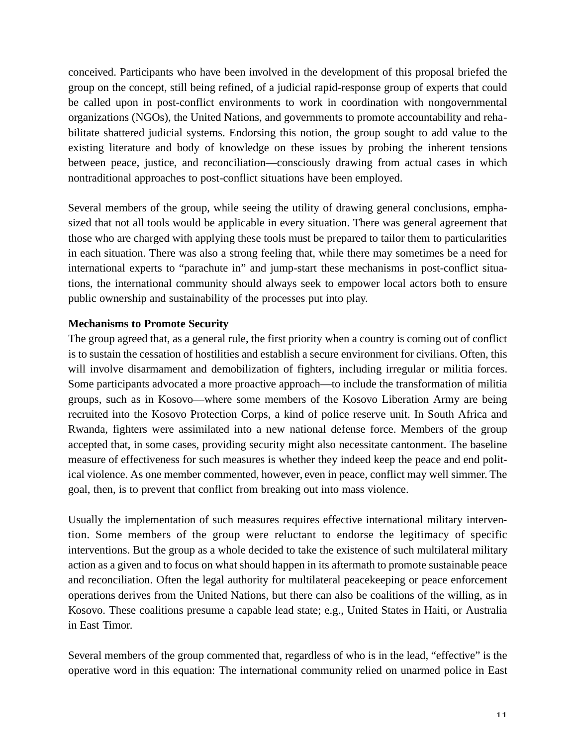conceived. Participants who have been involved in the development of this proposal briefed the group on the concept, still being refined, of a judicial rapid-response group of experts that could be called upon in post-conflict environments to work in coordination with nongovernmental organizations (NGOs), the United Nations, and governments to promote accountability and rehabilitate shattered judicial systems. Endorsing this notion, the group sought to add value to the existing literature and body of knowledge on these issues by probing the inherent tensions between peace, justice, and reconciliation—consciously drawing from actual cases in which nontraditional approaches to post-conflict situations have been employed.

Several members of the group, while seeing the utility of drawing general conclusions, emphasized that not all tools would be applicable in every situation. There was general agreement that those who are charged with applying these tools must be prepared to tailor them to particularities in each situation. There was also a strong feeling that, while there may sometimes be a need for international experts to "parachute in" and jump-start these mechanisms in post-conflict situations, the international community should always seek to empower local actors both to ensure public ownership and sustainability of the processes put into play.

#### **Mechanisms to Promote Security**

The group agreed that, as a general rule, the first priority when a country is coming out of conflict is to sustain the cessation of hostilities and establish a secure environment for civilians. Often, this will involve disarmament and demobilization of fighters, including irregular or militia forces. Some participants advocated a more proactive approach—to include the transformation of militia groups, such as in Kosovo—where some members of the Kosovo Liberation Army are being recruited into the Kosovo Protection Corps, a kind of police reserve unit. In South Africa and Rwanda, fighters were assimilated into a new national defense force. Members of the group accepted that, in some cases, providing security might also necessitate cantonment. The baseline measure of effectiveness for such measures is whether they indeed keep the peace and end political violence. As one member commented, however, even in peace, conflict may well simmer. The goal, then, is to prevent that conflict from breaking out into mass violence.

Usually the implementation of such measures requires effective international military intervention. Some members of the group were reluctant to endorse the legitimacy of specific interventions. But the group as a whole decided to take the existence of such multilateral military action as a given and to focus on what should happen in its aftermath to promote sustainable peace and reconciliation. Often the legal authority for multilateral peacekeeping or peace enforcement operations derives from the United Nations, but there can also be coalitions of the willing, as in Kosovo. These coalitions presume a capable lead state; e.g., United States in Haiti, or Australia in East Timor.

Several members of the group commented that, regardless of who is in the lead, "effective" is the operative word in this equation: The international community relied on unarmed police in East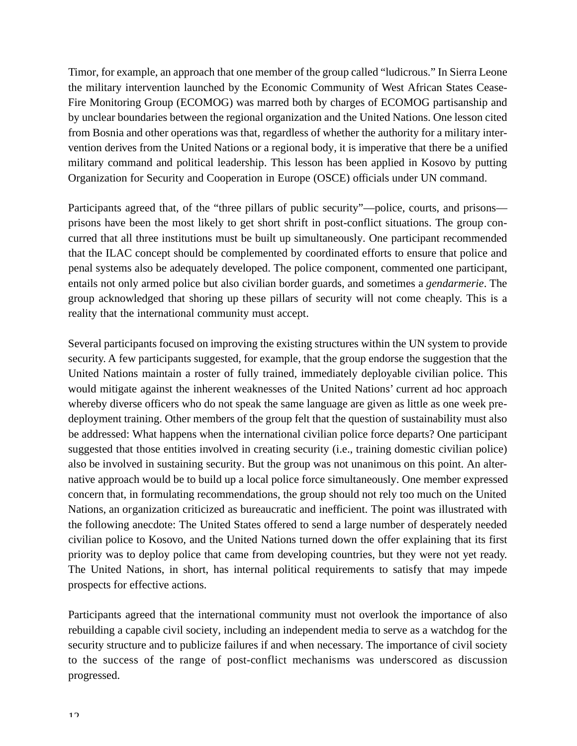Timor, for example, an approach that one member of the group called "ludicrous." In Sierra Leone the military intervention launched by the Economic Community of West African States Cease-Fire Monitoring Group (ECOMOG) was marred both by charges of ECOMOG partisanship and by unclear boundaries between the regional organization and the United Nations. One lesson cited from Bosnia and other operations was that, regardless of whether the authority for a military intervention derives from the United Nations or a regional body, it is imperative that there be a unified military command and political leadership. This lesson has been applied in Kosovo by putting Organization for Security and Cooperation in Europe (OSCE) officials under UN command.

Participants agreed that, of the "three pillars of public security"—police, courts, and prisons prisons have been the most likely to get short shrift in post-conflict situations. The group concurred that all three institutions must be built up simultaneously. One participant recommended that the ILAC concept should be complemented by coordinated efforts to ensure that police and penal systems also be adequately developed. The police component, commented one participant, entails not only armed police but also civilian border guards, and sometimes a *gendarmerie*. The group acknowledged that shoring up these pillars of security will not come cheaply. This is a reality that the international community must accept.

Several participants focused on improving the existing structures within the UN system to provide security. A few participants suggested, for example, that the group endorse the suggestion that the United Nations maintain a roster of fully trained, immediately deployable civilian police. This would mitigate against the inherent weaknesses of the United Nations' current ad hoc approach whereby diverse officers who do not speak the same language are given as little as one week predeployment training. Other members of the group felt that the question of sustainability must also be addressed: What happens when the international civilian police force departs? One participant suggested that those entities involved in creating security (i.e., training domestic civilian police) also be involved in sustaining security. But the group was not unanimous on this point. An alternative approach would be to build up a local police force simultaneously. One member expressed concern that, in formulating recommendations, the group should not rely too much on the United Nations, an organization criticized as bureaucratic and inefficient. The point was illustrated with the following anecdote: The United States offered to send a large number of desperately needed civilian police to Kosovo, and the United Nations turned down the offer explaining that its first priority was to deploy police that came from developing countries, but they were not yet ready. The United Nations, in short, has internal political requirements to satisfy that may impede prospects for effective actions.

Participants agreed that the international community must not overlook the importance of also rebuilding a capable civil society, including an independent media to serve as a watchdog for the security structure and to publicize failures if and when necessary. The importance of civil society to the success of the range of post-conflict mechanisms was underscored as discussion progressed.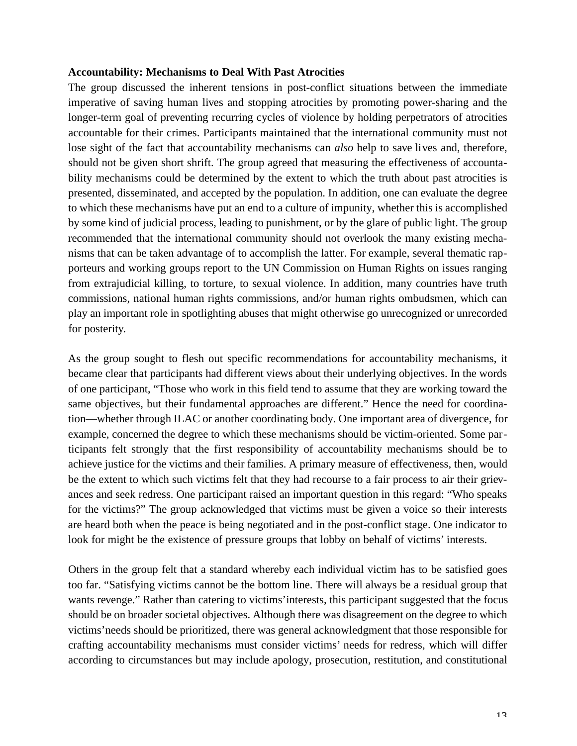#### **Accountability: Mechanisms to Deal With Past Atrocities**

The group discussed the inherent tensions in post-conflict situations between the immediate imperative of saving human lives and stopping atrocities by promoting power-sharing and the longer-term goal of preventing recurring cycles of violence by holding perpetrators of atrocities accountable for their crimes. Participants maintained that the international community must not lose sight of the fact that accountability mechanisms can *also* help to save lives and, therefore, should not be given short shrift. The group agreed that measuring the effectiveness of accountability mechanisms could be determined by the extent to which the truth about past atrocities is presented, disseminated, and accepted by the population. In addition, one can evaluate the degree to which these mechanisms have put an end to a culture of impunity, whether this is accomplished by some kind of judicial process, leading to punishment, or by the glare of public light. The group recommended that the international community should not overlook the many existing mechanisms that can be taken advantage of to accomplish the latter. For example, several thematic rapporteurs and working groups report to the UN Commission on Human Rights on issues ranging from extrajudicial killing, to torture, to sexual violence. In addition, many countries have truth commissions, national human rights commissions, and/or human rights ombudsmen, which can play an important role in spotlighting abuses that might otherwise go unrecognized or unrecorded for posterity.

As the group sought to flesh out specific recommendations for accountability mechanisms, it became clear that participants had different views about their underlying objectives. In the words of one participant, "Those who work in this field tend to assume that they are working toward the same objectives, but their fundamental approaches are different." Hence the need for coordination—whether through ILAC or another coordinating body. One important area of divergence, for example, concerned the degree to which these mechanisms should be victim-oriented. Some participants felt strongly that the first responsibility of accountability mechanisms should be to achieve justice for the victims and their families. A primary measure of effectiveness, then, would be the extent to which such victims felt that they had recourse to a fair process to air their grievances and seek redress. One participant raised an important question in this regard: "Who speaks for the victims?" The group acknowledged that victims must be given a voice so their interests are heard both when the peace is being negotiated and in the post-conflict stage. One indicator to look for might be the existence of pressure groups that lobby on behalf of victims' interests.

Others in the group felt that a standard whereby each individual victim has to be satisfied goes too far. "Satisfying victims cannot be the bottom line. There will always be a residual group that wants revenge." Rather than catering to victims'interests, this participant suggested that the focus should be on broader societal objectives. Although there was disagreement on the degree to which victims'needs should be prioritized, there was general acknowledgment that those responsible for crafting accountability mechanisms must consider victims' needs for redress, which will differ according to circumstances but may include apology, prosecution, restitution, and constitutional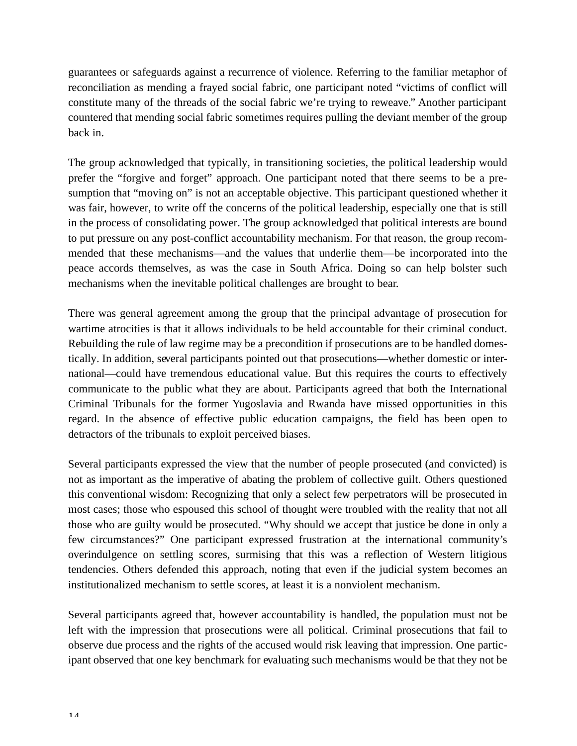guarantees or safeguards against a recurrence of violence. Referring to the familiar metaphor of reconciliation as mending a frayed social fabric, one participant noted "victims of conflict will constitute many of the threads of the social fabric we're trying to reweave." Another participant countered that mending social fabric sometimes requires pulling the deviant member of the group back in.

The group acknowledged that typically, in transitioning societies, the political leadership would prefer the "forgive and forget" approach. One participant noted that there seems to be a presumption that "moving on" is not an acceptable objective. This participant questioned whether it was fair, however, to write off the concerns of the political leadership, especially one that is still in the process of consolidating power. The group acknowledged that political interests are bound to put pressure on any post-conflict accountability mechanism. For that reason, the group recommended that these mechanisms—and the values that underlie them—be incorporated into the peace accords themselves, as was the case in South Africa. Doing so can help bolster such mechanisms when the inevitable political challenges are brought to bear.

There was general agreement among the group that the principal advantage of prosecution for wartime atrocities is that it allows individuals to be held accountable for their criminal conduct. Rebuilding the rule of law regime may be a precondition if prosecutions are to be handled domestically. In addition, several participants pointed out that prosecutions—whether domestic or international—could have tremendous educational value. But this requires the courts to effectively communicate to the public what they are about. Participants agreed that both the International Criminal Tribunals for the former Yugoslavia and Rwanda have missed opportunities in this regard. In the absence of effective public education campaigns, the field has been open to detractors of the tribunals to exploit perceived biases.

Several participants expressed the view that the number of people prosecuted (and convicted) is not as important as the imperative of abating the problem of collective guilt. Others questioned this conventional wisdom: Recognizing that only a select few perpetrators will be prosecuted in most cases; those who espoused this school of thought were troubled with the reality that not all those who are guilty would be prosecuted. "Why should we accept that justice be done in only a few circumstances?" One participant expressed frustration at the international community's overindulgence on settling scores, surmising that this was a reflection of Western litigious tendencies. Others defended this approach, noting that even if the judicial system becomes an institutionalized mechanism to settle scores, at least it is a nonviolent mechanism.

Several participants agreed that, however accountability is handled, the population must not be left with the impression that prosecutions were all political. Criminal prosecutions that fail to observe due process and the rights of the accused would risk leaving that impression. One participant observed that one key benchmark for evaluating such mechanisms would be that they not be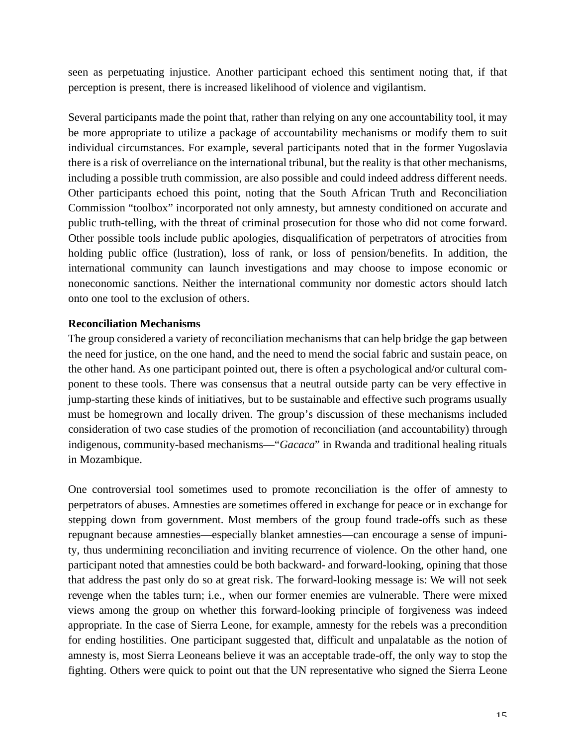seen as perpetuating injustice. Another participant echoed this sentiment noting that, if that perception is present, there is increased likelihood of violence and vigilantism.

Several participants made the point that, rather than relying on any one accountability tool, it may be more appropriate to utilize a package of accountability mechanisms or modify them to suit individual circumstances. For example, several participants noted that in the former Yugoslavia there is a risk of overreliance on the international tribunal, but the reality is that other mechanisms, including a possible truth commission, are also possible and could indeed address different needs. Other participants echoed this point, noting that the South African Truth and Reconciliation Commission "toolbox" incorporated not only amnesty, but amnesty conditioned on accurate and public truth-telling, with the threat of criminal prosecution for those who did not come forward. Other possible tools include public apologies, disqualification of perpetrators of atrocities from holding public office (lustration), loss of rank, or loss of pension/benefits. In addition, the international community can launch investigations and may choose to impose economic or noneconomic sanctions. Neither the international community nor domestic actors should latch onto one tool to the exclusion of others.

#### **Reconciliation Mechanisms**

The group considered a variety of reconciliation mechanisms that can help bridge the gap between the need for justice, on the one hand, and the need to mend the social fabric and sustain peace, on the other hand. As one participant pointed out, there is often a psychological and/or cultural component to these tools. There was consensus that a neutral outside party can be very effective in jump-starting these kinds of initiatives, but to be sustainable and effective such programs usually must be homegrown and locally driven. The group's discussion of these mechanisms included consideration of two case studies of the promotion of reconciliation (and accountability) through indigenous, community-based mechanisms—"*Gacaca*" in Rwanda and traditional healing rituals in Mozambique.

One controversial tool sometimes used to promote reconciliation is the offer of amnesty to perpetrators of abuses. Amnesties are sometimes offered in exchange for peace or in exchange for stepping down from government. Most members of the group found trade-offs such as these repugnant because amnesties—especially blanket amnesties—can encourage a sense of impunity, thus undermining reconciliation and inviting recurrence of violence. On the other hand, one participant noted that amnesties could be both backward- and forward-looking, opining that those that address the past only do so at great risk. The forward-looking message is: We will not seek revenge when the tables turn; i.e., when our former enemies are vulnerable. There were mixed views among the group on whether this forward-looking principle of forgiveness was indeed appropriate. In the case of Sierra Leone, for example, amnesty for the rebels was a precondition for ending hostilities. One participant suggested that, difficult and unpalatable as the notion of amnesty is, most Sierra Leoneans believe it was an acceptable trade-off, the only way to stop the fighting. Others were quick to point out that the UN representative who signed the Sierra Leone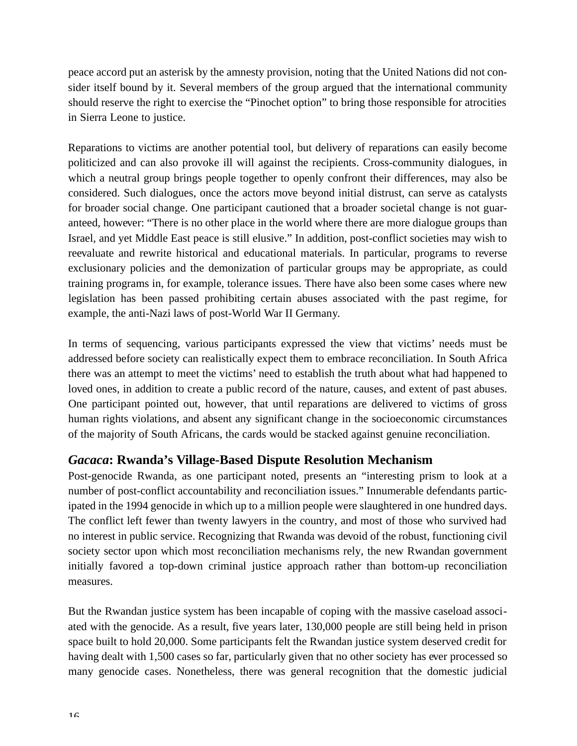peace accord put an asterisk by the amnesty provision, noting that the United Nations did not consider itself bound by it. Several members of the group argued that the international community should reserve the right to exercise the "Pinochet option" to bring those responsible for atrocities in Sierra Leone to justice.

Reparations to victims are another potential tool, but delivery of reparations can easily become politicized and can also provoke ill will against the recipients. Cross-community dialogues, in which a neutral group brings people together to openly confront their differences, may also be considered. Such dialogues, once the actors move beyond initial distrust, can serve as catalysts for broader social change. One participant cautioned that a broader societal change is not guaranteed, however: "There is no other place in the world where there are more dialogue groups than Israel, and yet Middle East peace is still elusive." In addition, post-conflict societies may wish to reevaluate and rewrite historical and educational materials. In particular, programs to reverse exclusionary policies and the demonization of particular groups may be appropriate, as could training programs in, for example, tolerance issues. There have also been some cases where new legislation has been passed prohibiting certain abuses associated with the past regime, for example, the anti-Nazi laws of post-World War II Germany.

In terms of sequencing, various participants expressed the view that victims' needs must be addressed before society can realistically expect them to embrace reconciliation. In South Africa there was an attempt to meet the victims' need to establish the truth about what had happened to loved ones, in addition to create a public record of the nature, causes, and extent of past abuses. One participant pointed out, however, that until reparations are delivered to victims of gross human rights violations, and absent any significant change in the socioeconomic circumstances of the majority of South Africans, the cards would be stacked against genuine reconciliation.

### *Gacaca***: Rwanda's Village-Based Dispute Resolution Mechanism**

Post-genocide Rwanda, as one participant noted, presents an "interesting prism to look at a number of post-conflict accountability and reconciliation issues." Innumerable defendants participated in the 1994 genocide in which up to a million people were slaughtered in one hundred days. The conflict left fewer than twenty lawyers in the country, and most of those who survived had no interest in public service. Recognizing that Rwanda was devoid of the robust, functioning civil society sector upon which most reconciliation mechanisms rely, the new Rwandan government initially favored a top-down criminal justice approach rather than bottom-up reconciliation measures.

But the Rwandan justice system has been incapable of coping with the massive caseload associated with the genocide. As a result, five years later, 130,000 people are still being held in prison space built to hold 20,000. Some participants felt the Rwandan justice system deserved credit for having dealt with 1,500 cases so far, particularly given that no other society has ever processed so many genocide cases. Nonetheless, there was general recognition that the domestic judicial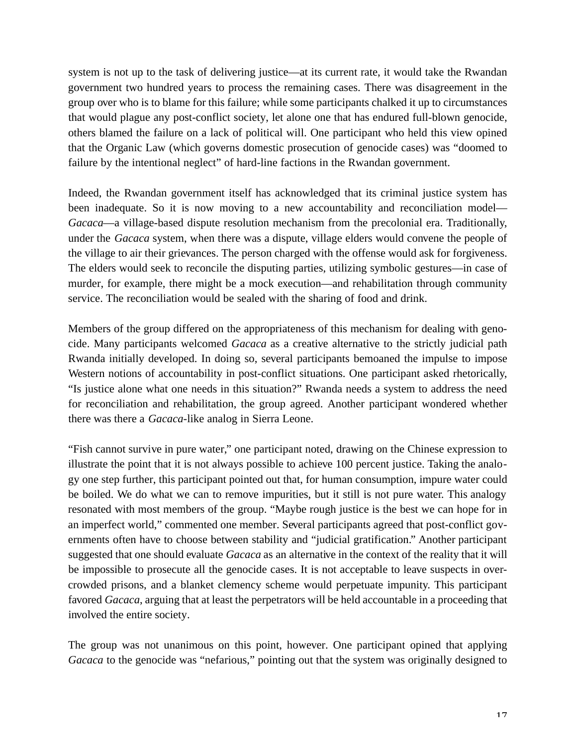system is not up to the task of delivering justice—at its current rate, it would take the Rwandan government two hundred years to process the remaining cases. There was disagreement in the group over who is to blame for this failure; while some participants chalked it up to circumstances that would plague any post-conflict society, let alone one that has endured full-blown genocide, others blamed the failure on a lack of political will. One participant who held this view opined that the Organic Law (which governs domestic prosecution of genocide cases) was "doomed to failure by the intentional neglect" of hard-line factions in the Rwandan government.

Indeed, the Rwandan government itself has acknowledged that its criminal justice system has been inadequate. So it is now moving to a new accountability and reconciliation model— *Gacaca*—a village-based dispute resolution mechanism from the precolonial era. Traditionally, under the *Gacaca* system, when there was a dispute, village elders would convene the people of the village to air their grievances. The person charged with the offense would ask for forgiveness. The elders would seek to reconcile the disputing parties, utilizing symbolic gestures—in case of murder, for example, there might be a mock execution—and rehabilitation through community service. The reconciliation would be sealed with the sharing of food and drink.

Members of the group differed on the appropriateness of this mechanism for dealing with genocide. Many participants welcomed *Gacaca* as a creative alternative to the strictly judicial path Rwanda initially developed. In doing so, several participants bemoaned the impulse to impose Western notions of accountability in post-conflict situations. One participant asked rhetorically, "Is justice alone what one needs in this situation?" Rwanda needs a system to address the need for reconciliation and rehabilitation, the group agreed. Another participant wondered whether there was there a *Gacaca*-like analog in Sierra Leone.

"Fish cannot survive in pure water," one participant noted, drawing on the Chinese expression to illustrate the point that it is not always possible to achieve 100 percent justice. Taking the analogy one step further, this participant pointed out that, for human consumption, impure water could be boiled. We do what we can to remove impurities, but it still is not pure water. This analogy resonated with most members of the group. "Maybe rough justice is the best we can hope for in an imperfect world," commented one member. Several participants agreed that post-conflict governments often have to choose between stability and "judicial gratification." Another participant suggested that one should evaluate *Gacaca* as an alternative in the context of the reality that it will be impossible to prosecute all the genocide cases. It is not acceptable to leave suspects in overcrowded prisons, and a blanket clemency scheme would perpetuate impunity. This participant favored *Gacaca*, arguing that at least the perpetrators will be held accountable in a proceeding that involved the entire society.

The group was not unanimous on this point, however. One participant opined that applying *Gacaca* to the genocide was "nefarious," pointing out that the system was originally designed to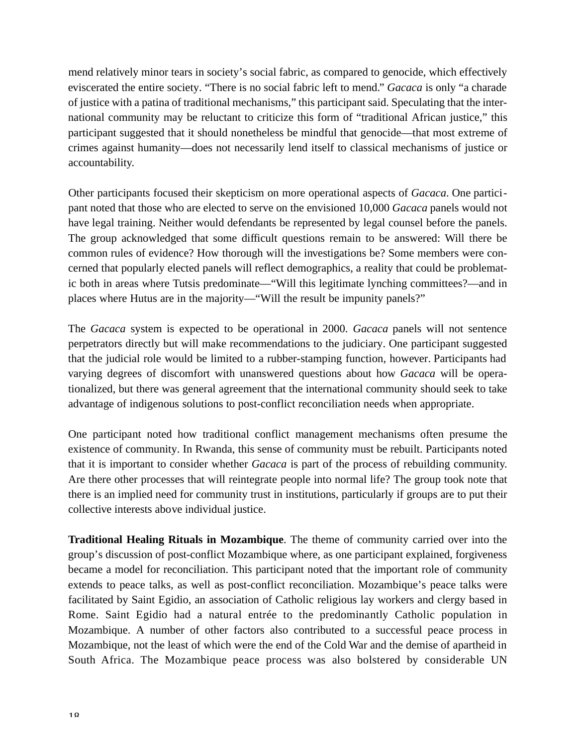mend relatively minor tears in society's social fabric, as compared to genocide, which effectively eviscerated the entire society. "There is no social fabric left to mend." *Gacaca* is only "a charade of justice with a patina of traditional mechanisms," this participant said. Speculating that the international community may be reluctant to criticize this form of "traditional African justice," this participant suggested that it should nonetheless be mindful that genocide—that most extreme of crimes against humanity—does not necessarily lend itself to classical mechanisms of justice or accountability.

Other participants focused their skepticism on more operational aspects of *Gacaca*. One participant noted that those who are elected to serve on the envisioned 10,000 *Gacaca* panels would not have legal training. Neither would defendants be represented by legal counsel before the panels. The group acknowledged that some difficult questions remain to be answered: Will there be common rules of evidence? How thorough will the investigations be? Some members were concerned that popularly elected panels will reflect demographics, a reality that could be problematic both in areas where Tutsis predominate—"Will this legitimate lynching committees?—and in places where Hutus are in the majority—"Will the result be impunity panels?"

The *Gacaca* system is expected to be operational in 2000. *Gacaca* panels will not sentence perpetrators directly but will make recommendations to the judiciary. One participant suggested that the judicial role would be limited to a rubber-stamping function, however. Participants had varying degrees of discomfort with unanswered questions about how *Gacaca* will be operationalized, but there was general agreement that the international community should seek to take advantage of indigenous solutions to post-conflict reconciliation needs when appropriate.

One participant noted how traditional conflict management mechanisms often presume the existence of community. In Rwanda, this sense of community must be rebuilt. Participants noted that it is important to consider whether *Gacaca* is part of the process of rebuilding community. Are there other processes that will reintegrate people into normal life? The group took note that there is an implied need for community trust in institutions, particularly if groups are to put their collective interests above individual justice.

**Traditional Healing Rituals in Mozambique**. The theme of community carried over into the group's discussion of post-conflict Mozambique where, as one participant explained, forgiveness became a model for reconciliation. This participant noted that the important role of community extends to peace talks, as well as post-conflict reconciliation. Mozambique's peace talks were facilitated by Saint Egidio, an association of Catholic religious lay workers and clergy based in Rome. Saint Egidio had a natural entrée to the predominantly Catholic population in Mozambique. A number of other factors also contributed to a successful peace process in Mozambique, not the least of which were the end of the Cold War and the demise of apartheid in South Africa. The Mozambique peace process was also bolstered by considerable UN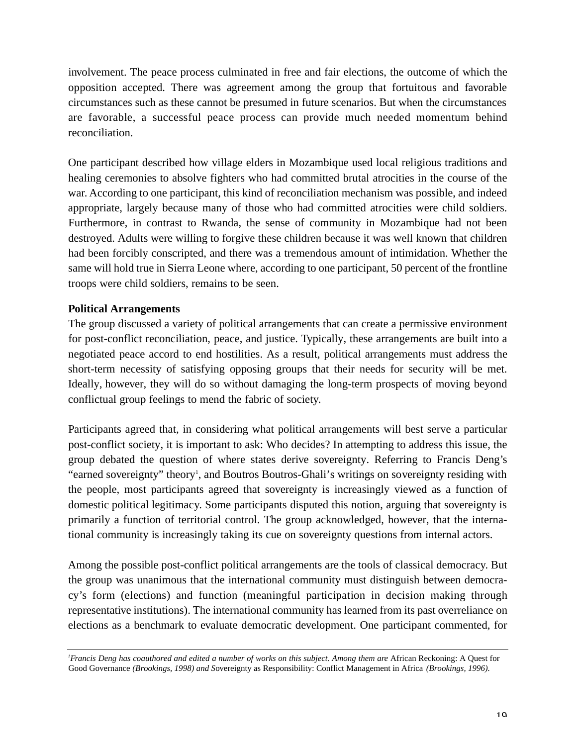involvement. The peace process culminated in free and fair elections, the outcome of which the opposition accepted. There was agreement among the group that fortuitous and favorable circumstances such as these cannot be presumed in future scenarios. But when the circumstances are favorable, a successful peace process can provide much needed momentum behind reconciliation.

One participant described how village elders in Mozambique used local religious traditions and healing ceremonies to absolve fighters who had committed brutal atrocities in the course of the war. According to one participant, this kind of reconciliation mechanism was possible, and indeed appropriate, largely because many of those who had committed atrocities were child soldiers. Furthermore, in contrast to Rwanda, the sense of community in Mozambique had not been destroyed. Adults were willing to forgive these children because it was well known that children had been forcibly conscripted, and there was a tremendous amount of intimidation. Whether the same will hold true in Sierra Leone where, according to one participant, 50 percent of the frontline troops were child soldiers, remains to be seen.

#### **Political Arrangements**

The group discussed a variety of political arrangements that can create a permissive environment for post-conflict reconciliation, peace, and justice. Typically, these arrangements are built into a negotiated peace accord to end hostilities. As a result, political arrangements must address the short-term necessity of satisfying opposing groups that their needs for security will be met. Ideally, however, they will do so without damaging the long-term prospects of moving beyond conflictual group feelings to mend the fabric of society.

Participants agreed that, in considering what political arrangements will best serve a particular post-conflict society, it is important to ask: Who decides? In attempting to address this issue, the group debated the question of where states derive sovereignty. Referring to Francis Deng's "earned sovereignty" theory<sup>1</sup>, and Boutros Boutros-Ghali's writings on sovereignty residing with the people, most participants agreed that sovereignty is increasingly viewed as a function of domestic political legitimacy. Some participants disputed this notion, arguing that sovereignty is primarily a function of territorial control. The group acknowledged, however, that the international community is increasingly taking its cue on sovereignty questions from internal actors.

Among the possible post-conflict political arrangements are the tools of classical democracy. But the group was unanimous that the international community must distinguish between democracy 's form (elections) and function (meaningful participation in decision making through representative institutions). The international community has learned from its past overreliance on elections as a benchmark to evaluate democratic development. One participant commented, for

*<sup>1</sup>Francis Deng has coauthored and edited a number of works on this subject. Among them are* African Reckoning: A Quest for Good Governance *(Brookings, 1998) and S*overeignty as Responsibility: Conflict Management in Africa *(Brookings, 1996).*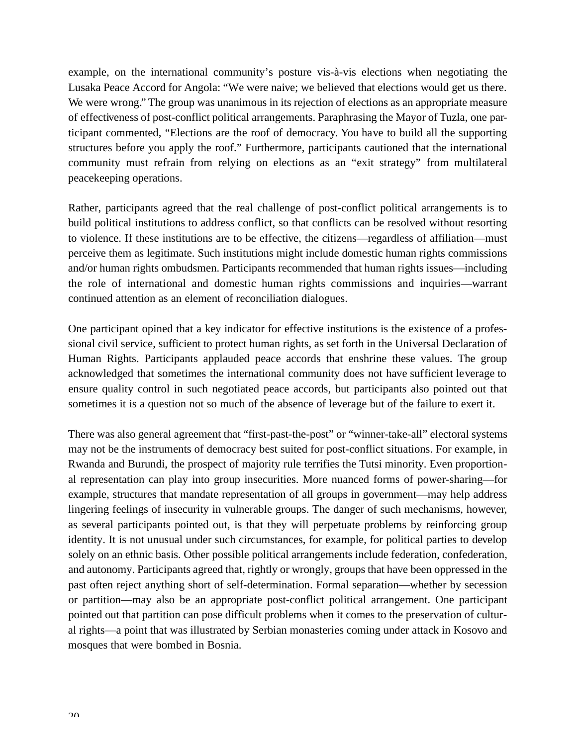example, on the international community's posture vis-à-vis elections when negotiating the Lusaka Peace Accord for Angola: "We were naive; we believed that elections would get us there. We were wrong." The group was unanimous in its rejection of elections as an appropriate measure of effectiveness of post-conflict political arrangements. Paraphrasing the Mayor of Tuzla, one participant commented, "Elections are the roof of democracy. You have to build all the supporting structures before you apply the roof." Furthermore, participants cautioned that the international community must refrain from relying on elections as an "exit strategy" from multilateral peacekeeping operations.

Rather, participants agreed that the real challenge of post-conflict political arrangements is to build political institutions to address conflict, so that conflicts can be resolved without resorting to violence. If these institutions are to be effective, the citizens—regardless of affiliation—must perceive them as legitimate. Such institutions might include domestic human rights commissions and/or human rights ombudsmen. Participants recommended that human rights issues—including the role of international and domestic human rights commissions and inquiries—warrant continued attention as an element of reconciliation dialogues.

One participant opined that a key indicator for effective institutions is the existence of a professional civil service, sufficient to protect human rights, as set forth in the Universal Declaration of Human Rights. Participants applauded peace accords that enshrine these values. The group acknowledged that sometimes the international community does not have sufficient leverage to ensure quality control in such negotiated peace accords, but participants also pointed out that sometimes it is a question not so much of the absence of leverage but of the failure to exert it.

There was also general agreement that "first-past-the-post" or "winner-take-all" electoral systems may not be the instruments of democracy best suited for post-conflict situations. For example, in Rwanda and Burundi, the prospect of majority rule terrifies the Tutsi minority. Even proportional representation can play into group insecurities. More nuanced forms of power-sharing—for example, structures that mandate representation of all groups in government—may help address lingering feelings of insecurity in vulnerable groups. The danger of such mechanisms, however, as several participants pointed out, is that they will perpetuate problems by reinforcing group identity. It is not unusual under such circumstances, for example, for political parties to develop solely on an ethnic basis. Other possible political arrangements include federation, confederation, and autonomy. Participants agreed that, rightly or wrongly, groups that have been oppressed in the past often reject anything short of self-determination. Formal separation—whether by secession or partition—may also be an appropriate post-conflict political arrangement. One participant pointed out that partition can pose difficult problems when it comes to the preservation of cultural rights—a point that was illustrated by Serbian monasteries coming under attack in Kosovo and mosques that were bombed in Bosnia.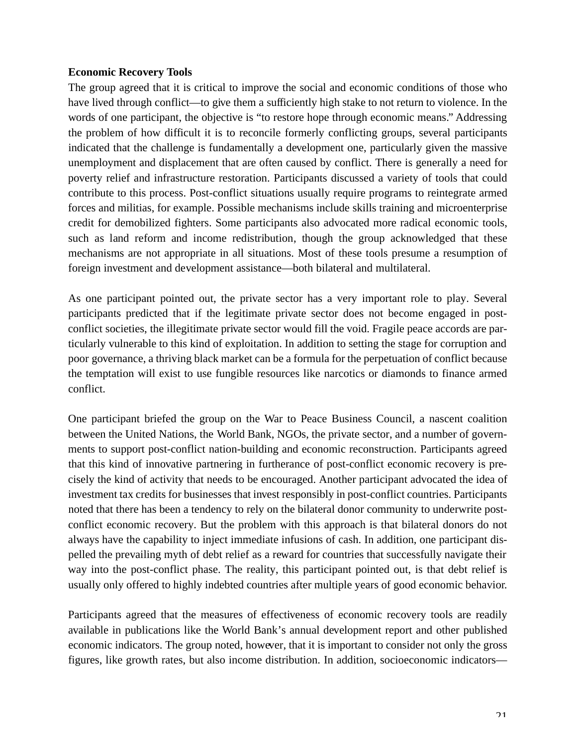#### **Economic Recovery Tools**

The group agreed that it is critical to improve the social and economic conditions of those who have lived through conflict—to give them a sufficiently high stake to not return to violence. In the words of one participant, the objective is "to restore hope through economic means." Addressing the problem of how difficult it is to reconcile formerly conflicting groups, several participants indicated that the challenge is fundamentally a development one, particularly given the massive unemployment and displacement that are often caused by conflict. There is generally a need for poverty relief and infrastructure restoration. Participants discussed a variety of tools that could contribute to this process. Post-conflict situations usually require programs to reintegrate armed forces and militias, for example. Possible mechanisms include skills training and microenterprise credit for demobilized fighters. Some participants also advocated more radical economic tools, such as land reform and income redistribution, though the group acknowledged that these mechanisms are not appropriate in all situations. Most of these tools presume a resumption of foreign investment and development assistance—both bilateral and multilateral.

As one participant pointed out, the private sector has a very important role to play. Several participants predicted that if the legitimate private sector does not become engaged in postconflict societies, the illegitimate private sector would fill the void. Fragile peace accords are particularly vulnerable to this kind of exploitation. In addition to setting the stage for corruption and poor governance, a thriving black market can be a formula for the perpetuation of conflict because the temptation will exist to use fungible resources like narcotics or diamonds to finance armed conflict.

One participant briefed the group on the War to Peace Business Council, a nascent coalition between the United Nations, the World Bank, NGOs, the private sector, and a number of governments to support post-conflict nation-building and economic reconstruction. Participants agreed that this kind of innovative partnering in furtherance of post-conflict economic recovery is precisely the kind of activity that needs to be encouraged. Another participant advocated the idea of investment tax credits for businesses that invest responsibly in post-conflict countries. Participants noted that there has been a tendency to rely on the bilateral donor community to underwrite postconflict economic recovery. But the problem with this approach is that bilateral donors do not always have the capability to inject immediate infusions of cash. In addition, one participant dispelled the prevailing myth of debt relief as a reward for countries that successfully navigate their way into the post-conflict phase. The reality, this participant pointed out, is that debt relief is usually only offered to highly indebted countries after multiple years of good economic behavior.

Participants agreed that the measures of effectiveness of economic recovery tools are readily available in publications like the World Bank's annual development report and other published economic indicators. The group noted, however, that it is important to consider not only the gross figures, like growth rates, but also income distribution. In addition, socioeconomic indicators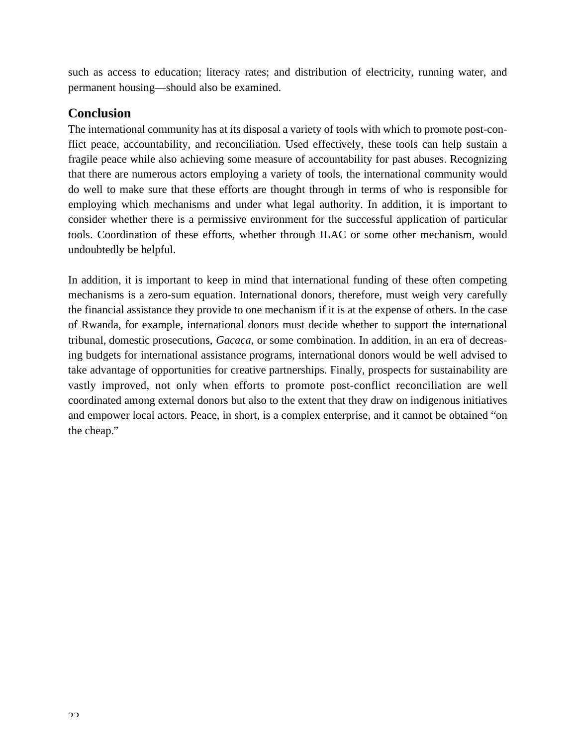such as access to education; literacy rates; and distribution of electricity, running water, and permanent housing—should also be examined.

### **Conclusion**

The international community has at its disposal a variety of tools with which to promote post-conflict peace, accountability, and reconciliation. Used effectively, these tools can help sustain a fragile peace while also achieving some measure of accountability for past abuses. Recognizing that there are numerous actors employing a variety of tools, the international community would do well to make sure that these efforts are thought through in terms of who is responsible for employing which mechanisms and under what legal authority. In addition, it is important to consider whether there is a permissive environment for the successful application of particular tools. Coordination of these efforts, whether through ILAC or some other mechanism, would undoubtedly be helpful.

In addition, it is important to keep in mind that international funding of these often competing mechanisms is a zero-sum equation. International donors, therefore, must weigh very carefully the financial assistance they provide to one mechanism if it is at the expense of others. In the case of Rwanda, for example, international donors must decide whether to support the international tribunal, domestic prosecutions, *Gacaca*, or some combination. In addition, in an era of decreasing budgets for international assistance programs, international donors would be well advised to take advantage of opportunities for creative partnerships. Finally, prospects for sustainability are vastly improved, not only when efforts to promote post-conflict reconciliation are well coordinated among external donors but also to the extent that they draw on indigenous initiatives and empower local actors. Peace, in short, is a complex enterprise, and it cannot be obtained "on the cheap."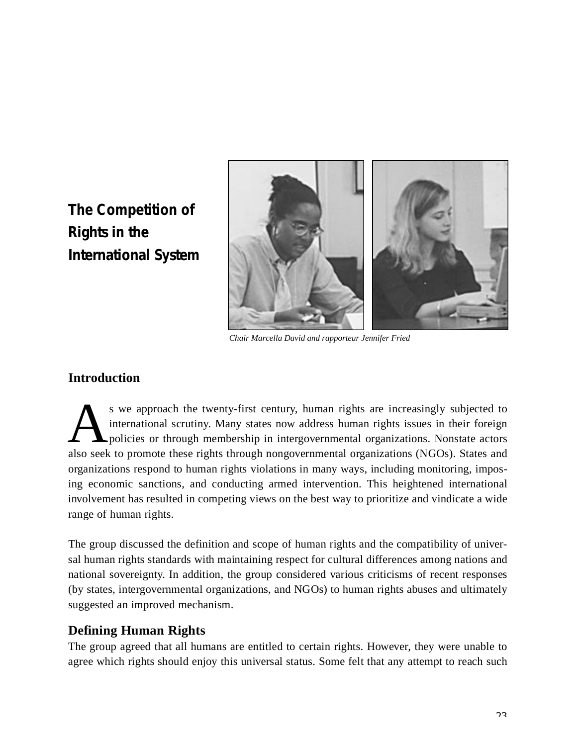# <span id="page-22-0"></span>**The Competition of Rights in the International System**



*Chair Marcella David and rapporteur Jennifer Fried*

### **Introduction**

<sup>s</sup> we approach the twenty-first century, human rights are increasingly subjected to international scrutiny. Many states now address human rights issues in their foreign policies or through membership in intergovernmental s we approach the twenty-first century, human rights are increasingly subjected to international scrutiny. Many states now address human rights issues in their foreign policies or through membership in intergovernmental organizations. Nonstate actors organizations respond to human rights violations in many ways, including monitoring, imposing economic sanctions, and conducting armed intervention. This heightened international involvement has resulted in competing views on the best way to prioritize and vindicate a wide range of human rights.

The group discussed the definition and scope of human rights and the compatibility of universal human rights standards with maintaining respect for cultural differences among nations and national sovereignty. In addition, the group considered various criticisms of recent responses (by states, intergovernmental organizations, and NGOs) to human rights abuses and ultimately suggested an improved mechanism.

### **Defining Human Rights**

The group agreed that all humans are entitled to certain rights. However, they were unable to agree which rights should enjoy this universal status. Some felt that any attempt to reach such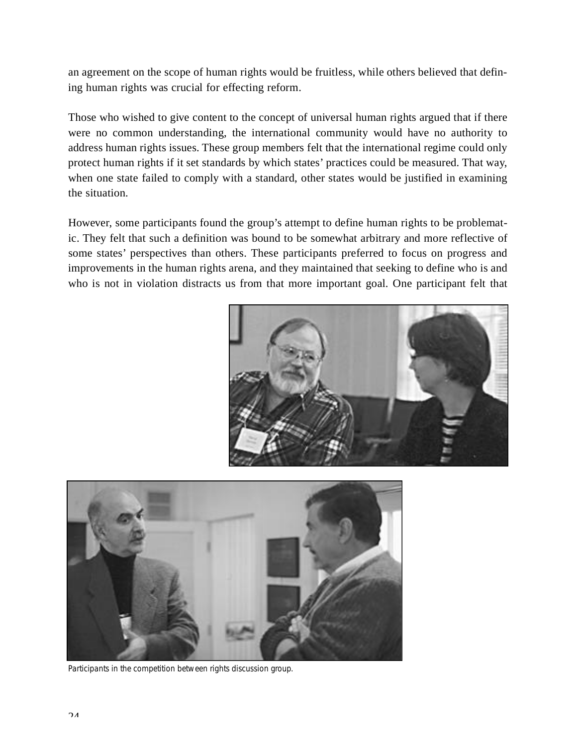an agreement on the scope of human rights would be fruitless, while others believed that defining human rights was crucial for effecting reform.

Those who wished to give content to the concept of universal human rights argued that if there were no common understanding, the international community would have no authority to address human rights issues. These group members felt that the international regime could only protect human rights if it set standards by which states' practices could be measured. That way, when one state failed to comply with a standard, other states would be justified in examining the situation.

However, some participants found the group's attempt to define human rights to be problematic. They felt that such a definition was bound to be somewhat arbitrary and more reflective of some states' perspectives than others. These participants preferred to focus on progress and im provements in the human rights arena, and they maintained that seeking to define who is and who is not in violation distracts us from that more important goal. One participant felt that





*Participants in the competition between rights discussion group.*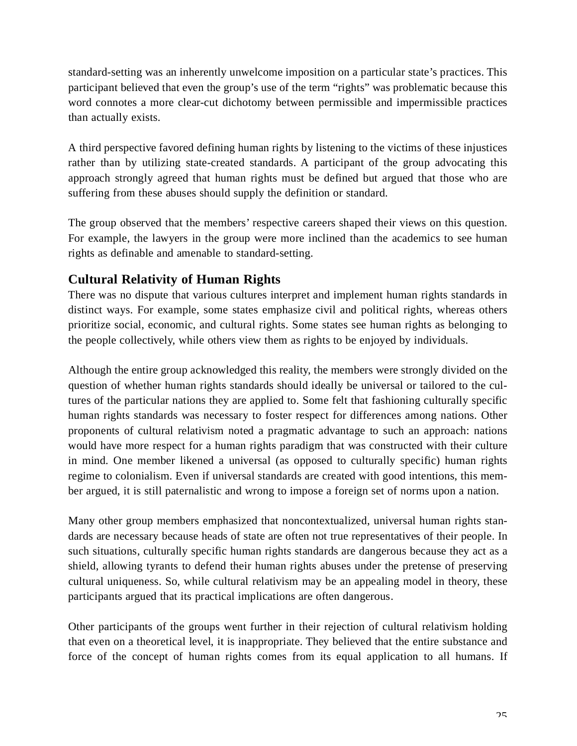standard-setting was an inherently unwelcome imposition on a particular state's practices. This participant believed that even the group's use of the term "rights" was problematic because this word connotes a more clear-cut dichotomy between permissible and impermissible practices than actually exists.

A third perspective favored defining human rights by listening to the victims of these injustices rather than by utilizing state-created standards. A participant of the group advocating this approach strongly agreed that human rights must be defined but argued that those who are suffering from these abuses should supply the definition or standard.

The group observed that the members' respective careers shaped their views on this question. For example, the lawyers in the group were more inclined than the academics to see human rights as definable and amenable to standard-setting.

### **Cultural Relativity of Human Rights**

There was no dispute that various cultures interpret and implement human rights standards in distinct ways. For example, some states emphasize civil and political rights, whereas others prioritize social, economic, and cultural rights. Some states see human rights as belonging to the people collectively, while others view them as rights to be enjoyed by individuals.

Although the entire group acknowledged this reality, the members were strongly divided on the question of whether human rights standards should ideally be universal or tailored to the cultures of the particular nations they are applied to. Some felt that fashioning culturally specific human rights standards was necessary to foster respect for differences among nations. Other proponents of cultural relativism noted a pragmatic advantage to such an approach: nations would have more respect for a human rights paradigm that was constructed with their culture in mind. One member likened a universal (as opposed to culturally specific) human rights regime to colonialism. Even if universal standards are created with good intentions, this member argued, it is still paternalistic and wrong to impose a foreign set of norms upon a nation.

Many other group members emphasized that noncontextualized, universal human rights standards are necessary because heads of state are often not true representatives of their people. In such situations, culturally specific human rights standards are dangerous because they act as a shield, allowing tyrants to defend their human rights abuses under the pretense of preserving cultural uniqueness. So, while cultural relativism may be an appealing model in theory, these participants argued that its practical implications are often dangerous.

Other participants of the groups went further in their rejection of cultural relativism holding that even on a theoretical level, it is inappropriate. They believed that the entire substance and force of the concept of human rights comes from its equal application to all humans. If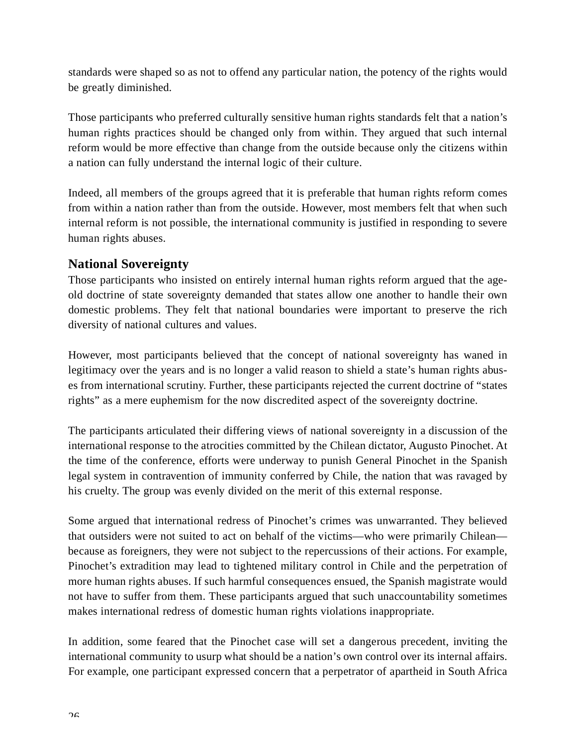standards were shaped so as not to offend any particular nation, the potency of the rights would be greatly diminished.

Those participants who preferred culturally sensitive human rights standards felt that a nation's human rights practices should be changed only from within. They argued that such internal reform would be more effective than change from the outside because only the citizens within a nation can fully understand the internal logic of their culture.

Indeed, all members of the groups agreed that it is preferable that human rights reform comes from within a nation rather than from the outside. However, most members felt that when such internal reform is not possible, the international community is justified in responding to severe human rights abuses.

### **National Sovereignty**

Those participants who insisted on entirely internal human rights reform argued that the ageold doctrine of state sovereignty demanded that states allow one another to handle their own domestic problems. They felt that national boundaries were important to preserve the rich diversity of national cultures and values.

However, most participants believed that the concept of national sovereignty has waned in legitimacy over the years and is no longer a valid reason to shield a state's human rights abuses from international scrutiny. Further, these participants rejected the current doctrine of "states rights" as a mere euphemism for the now discredited aspect of the sovereignty doctrine.

The participants articulated their differing views of national sovereignty in a discussion of the international response to the atrocities committed by the Chilean dictator, Augusto Pinochet. At the time of the conference, efforts were underway to punish General Pinochet in the Spanish legal system in contravention of immunity conferred by Chile, the nation that was ravaged by his cruelty. The group was evenly divided on the merit of this external response.

Some argued that international redress of Pinochet's crimes was unwarranted. They believed that outsiders were not suited to act on behalf of the victims—who were primarily Chilean because as foreigners, they were not subject to the repercussions of their actions. For example, Pinochet's extradition may lead to tightened military control in Chile and the perpetration of more human rights abuses. If such harmful consequences ensued, the Spanish magistrate would not have to suffer from them. These participants argued that such unaccountability sometimes makes international redress of domestic human rights violations inappropriate.

In addition, some feared that the Pinochet case will set a dangerous precedent, inviting the international community to usurp what should be a nation's own control over its internal affairs. For example, one participant expressed concern that a perpetrator of apartheid in South Africa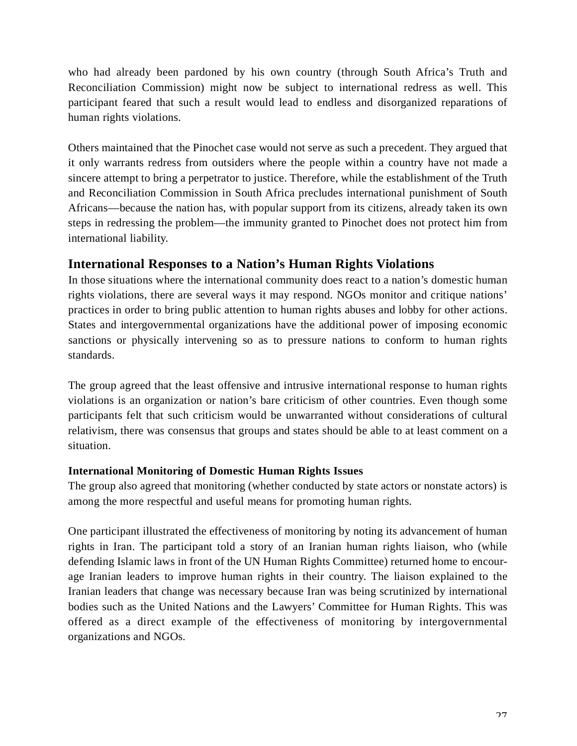who had already been pardoned by his own country (through South Africa's Truth and Reconciliation Commission) might now be subject to international redress as well. This participant feared that such a result would lead to endless and disorganized reparations of human rights violations.

Others maintained that the Pinochet case would not serve as such a precedent. They argued that it only warrants redress from outsiders where the people within a country have not made a sincere attempt to bring a perpetrator to justice. Therefore, while the establishment of the Truth and Reconciliation Commission in South Africa precludes international punishment of South Africans—because the nation has, with popular support from its citizens, already taken its ow n steps in redressing the problem—the immunity granted to Pinochet does not protect him from international liability.

### **International Responses to a Nation's Human Rights Violations**

In those situations where the international community does react to a nation's domestic human rights violations, there are several ways it may respond. NGOs monitor and critique nations' practices in order to bring public attention to human rights abuses and lobby for other actions. States and intergovernmental organizations have the additional power of imposing economic sanctions or physically intervening so as to pressure nations to conform to human rights standards.

The group agreed that the least offensive and intrusive international response to human rights violations is an organization or nation's bare criticism of other countries. Even though some participants felt that such criticism would be unwarranted without considerations of cultural relativism, there was consensus that groups and states should be able to at least comment on a situation.

#### **International Monitoring of Domestic Human Rights Issues**

The group also agreed that monitoring (whether conducted by state actors or nonstate actors) is among the more respectful and useful means for promoting human rights.

One participant illustrated the effectiveness of monitoring by noting its advancement of human rights in Iran. The participant told a story of an Iranian human rights liaison, who (while defending Islamic laws in front of the UN Human Rights Committee) returned home to encourage Iranian leaders to improve human rights in their country. The liaison explained to the Iranian leaders that change was necessary because Iran was being scrutinized by international bodies such as the United Nations and the Lawyers' Committee for Human Rights. This was offered as a direct example of the effectiveness of monitoring by intergovernmental organizations and NGOs.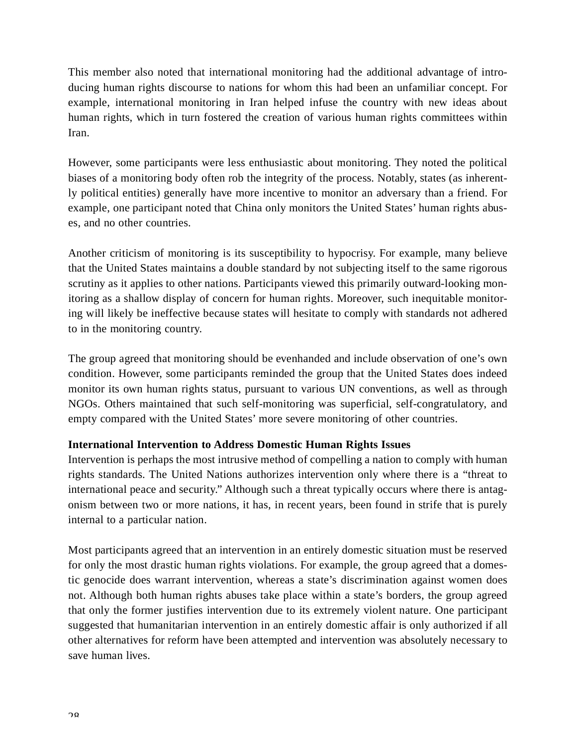This member also noted that international monitoring had the additional advantage of introducing human rights discourse to nations for whom this had been an unfamiliar concept. For example, international monitoring in Iran helped infuse the country with new ideas about human rights, which in turn fostered the creation of various human rights committees within Iran.

However, some participants were less enthusiastic about monitoring. They noted the political biases of a monitoring body often rob the integrity of the process. Notably, states (as inherently political entities) generally have more incentive to monitor an adversary than a friend. For example, one participant noted that China only monitors the United States' human rights abuses, and no other countries.

Another criticism of monitoring is its susceptibility to hypocrisy. For example, many believe that the United States maintains a double standard by not subjecting itself to the same rigorous scrutiny as it applies to other nations. Participants viewed this primarily outward-looking monitoring as a shallow display of concern for human rights. Moreover, such inequitable monitoring will likely be ineffective because states will hesitate to comply with standards not adhered to in the monitoring country.

The group agreed that monitoring should be evenhanded and include observation of one's own condition. However, some participants reminded the group that the United States does indeed monitor its own human rights status, pursuant to various UN conventions, as well as through NGOs. Others maintained that such self-monitoring was superficial, self-congratulatory, and empty compared with the United States' more severe monitoring of other countries.

#### **International Intervention to Address Domestic Human Rights Issues**

Intervention is perhaps the most intrusive method of compelling a nation to comply with human rights standards. The United Nations authorizes intervention only where there is a "threat to international peace and security." Although such a threat typically occurs where there is antagonism between two or more nations, it has, in recent years, been found in strife that is purely internal to a particular nation.

Most participants agreed that an intervention in an entirely domestic situation must be reserved for only the most drastic human rights violations. For example, the group agreed that a domestic genocide does warrant intervention, whereas a state's discrimination against women does not. Although both human rights abuses take place within a state's borders, the group agreed that only the former justifies intervention due to its extremely violent nature. One participant suggested that humanitarian intervention in an entirely domestic affair is only authorized if all other alternatives for reform have been attempted and intervention was absolutely necessary to save human lives.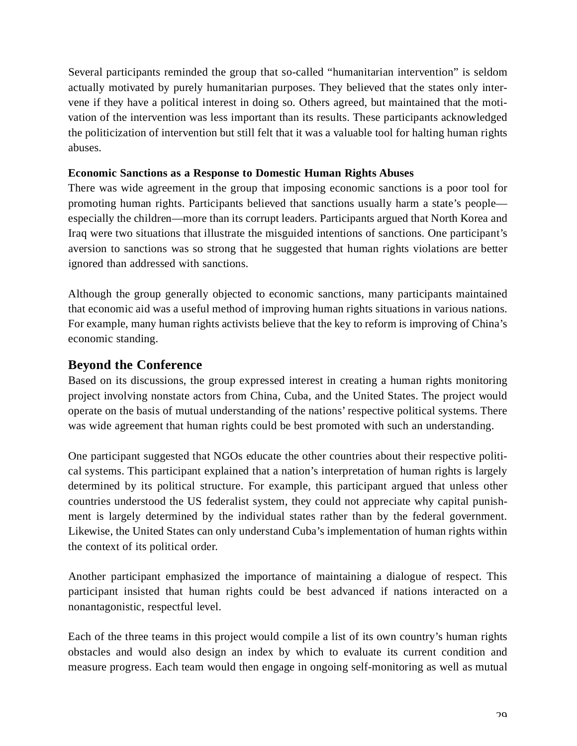Several participants reminded the group that so-called "humanitarian intervention" is seldom actually motivated by purely humanitarian purposes. They believed that the states only intervene if they have a political interest in doing so. Others agreed, but maintained that the motivation of the intervention was less important than its results. These participants acknowledged the politicization of intervention but still felt that it was a valuable tool for halting human rights abuses.

#### **Economic Sanctions as a Response to Domestic Human Rights A buses**

There was wide agreement in the group that imposing economic sanctions is a poor tool for promoting human rights. Participants believed that sanctions usually harm a state's people especially the children—more than its corrupt leaders. Participants argued that North Korea and Iraq were two situations that illustrate the misguided intentions of sanctions. One participant's aversion to sanctions was so strong that he suggested that human rights violations are better ignored than addressed with sanctions.

Although the group generally objected to economic sanctions, many participants maintained that economic aid was a useful method of improving human rights situations in various nations. For example, many human rights activists believe that the key to reform is improving of China's economic standing.

#### **Beyond the Conference**

Based on its discussions, the group expressed interest in creating a human rights monitoring project involving nonstate actors from China, Cuba, and the United States. The project would operate on the basis of mutual understanding of the nations' respective political systems. There was wide agreement that human rights could be best promoted with such an understanding.

One participant suggested that NGOs educate the other countries about their respective political systems. This participant explained that a nation's interpretation of human rights is largely determined by its political structure. For example, this participant argued that unless other countries understood the US federalist system, they could not appreciate why capital punishment is largely determined by the individual states rather than by the federal government. Likewise, the United States can only understand Cuba's implementation of human rights within the context of its political order.

Another participant emphasized the importance of maintaining a dialogue of respect. This participant insisted that human rights could be best advanced if nations interacted on a nonantagonistic, respectful level.

Each of the three teams in this project would compile a list of its own country's human rights obstacles and would also design an index by which to evaluate its current condition and measure progress. Each team would then engage in ongoing self-monitoring as well as mutual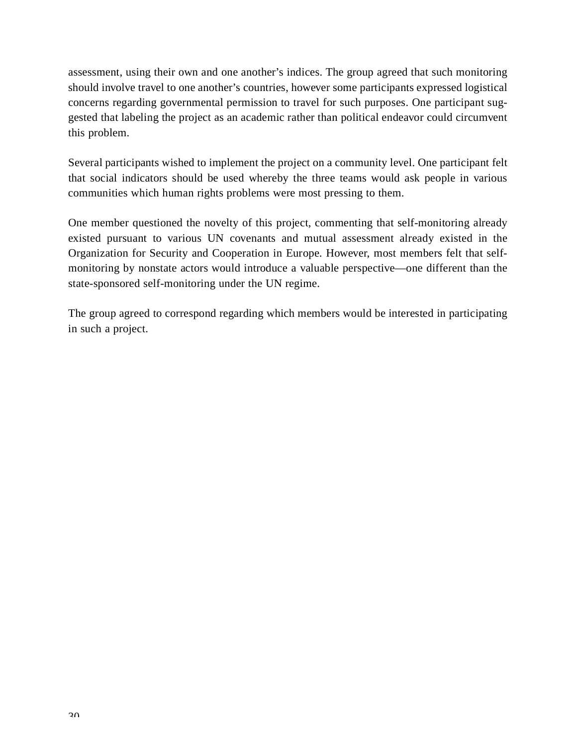assessment, using their own and one another's indices. The group agreed that such monitoring should involve travel to one another's countries, however some participants expressed logistical concerns regarding governmental permission to travel for such purposes. One participant suggested that labeling the project as an academic rather than political endeavor could circumvent this problem.

Several participants wished to implement the project on a community level. One participant felt that social indicators should be used whereby the three teams would ask people in various communities which human rights problems were most pressing to them.

One member questioned the novelty of this project, commenting that self-monitoring already existed pursuant to various UN covenants and mutual assessment already existed in the Organization for Security and Cooperation in Europe. However, most members felt that selfmonitoring by nonstate actors would introduce a valuable perspective—one different than the state-sponsored self-monitoring under the UN regime.

The group agreed to correspond regarding which members would be interested in participating in such a project.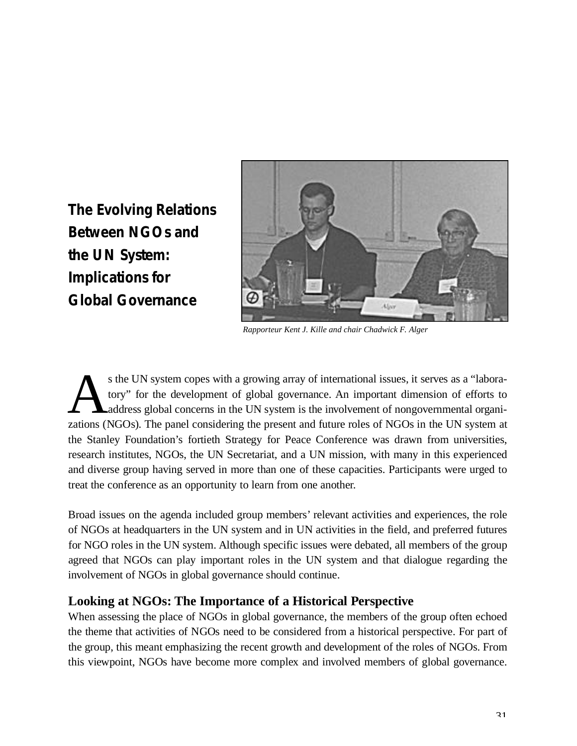<span id="page-30-0"></span>**The Evolving Relations Between NGOs and the UN System: Implications for Global Governance**



*Rapporteur Kent J. Kille and chair Chadwick F. Alger*

s the UN system copes with a growing array of international issues, it serves as a "laboratory" for the development of global governance. An important dimension of efforts to address global concerns in the UN system is the s the UN system copes with a growing array of international issues, it serves as a "laboratory" for the development of global governance. An important dimension of efforts to Laddress global concerns in the UN system is the involvement of nongovernmental organithe Stanley Foundation's fortieth Strategy for Peace Conference was drawn from universities, research institutes, NGOs, the UN Secretariat, and a UN mission, with many in this experienced and diverse group having served in more than one of these capacities. Participants were urged to treat the conference as an opportunity to learn from one another.

Broad issues on the agenda included group members' relevant activities and experiences, the role of NGOs at headquarters in the UN system and in UN activities in the field, and preferred futures for NGO roles in the UN system. Although specific issues were debated, all members of the group agreed that NGOs can play important roles in the UN system and that dialogue regarding the involvement of NGOs in global governance should continue.

### **Looking at NGOs: The Importance of a Historical Perspective**

When assessing the place of NGOs in global governance, the members of the group often echoed the theme that activities of NGOs need to be considered from a historical perspective. For part of the group, this meant emphasizing the recent growth and development of the roles of NGOs. From this viewpoint, NGOs have become more complex and involved members of global governance.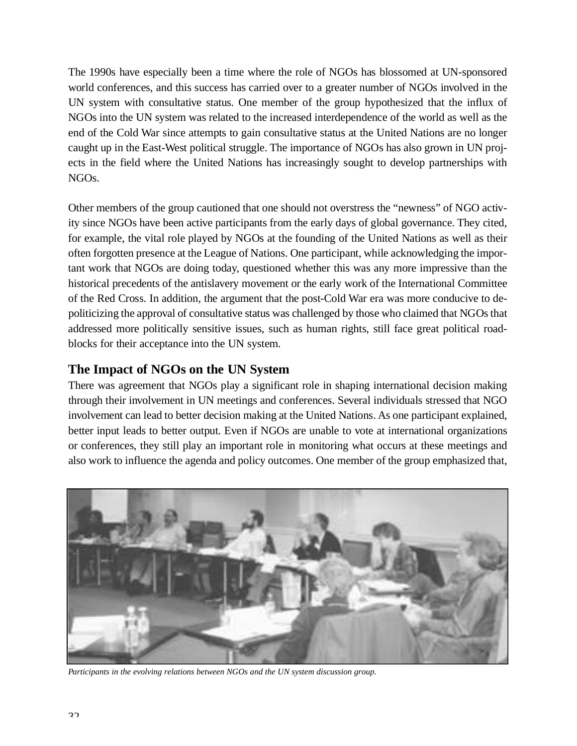The 1990s have especially been a time where the role of NGOs has blossomed at UN-sponsored world conferences, and this success has carried over to a greater number of NGOs involved in the UN system with consultative status. One member of the group hypothesized that the influx of NGOs into the UN system was related to the increased interdependence of the world as well as the end of the Cold War since attempts to gain consultative status at the United Nations are no longer caught up in the East-West political struggle. The importance of NGOs has also grown in UN projects in the field where the United Nations has increasingly sought to develop partnerships with  $NGOs.$ 

Other members of the group cautioned that one should not overstress the "newness" of NGO activity since NGOs have been active participants from the early days of global governance. They cited, for example, the vital role played by NGOs at the founding of the United Nations as well as their often forgotten presence at the League of Nations. One participant, while acknowledging the important work that NGOs are doing today, questioned whether this was any more impressive than the historical precedents of the antislavery movement or the early work of the International Committee of the Red Cross. In addition, the argument that the post-Cold War era was more conducive to depoliticizing the approval of consultative status was challenged by those who claimed that NGOs that addressed more politically sensitive issues, such as human rights, still face great political roadblocks for their acceptance into the UN system.

### **The Impact of NGOs on the UN System**

There was agreement that NGOs play a significant role in shaping international decision making through their involvement in UN meetings and conferences. Several individuals stressed that NGO involvement can lead to better decision making at the United Nations. As one participant explained, better input leads to better output. Even if NGOs are unable to vote at international organizations or conferences, they still play an important role in monitoring what occurs at these meetings and also work to influence the agenda and policy outcomes. One member of the group emphasized that,



*Participants in the evolving relations between NGOs and the UN system discussion group.*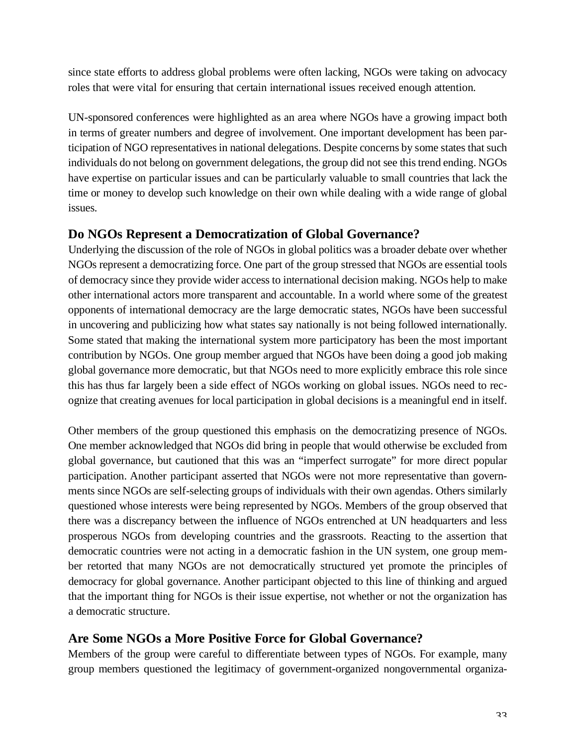since state efforts to address global problems were often lacking, NGOs were taking on advocacy roles that were vital for ensuring that certain international issues received enough attention.

UN-sponsored conferences were highlighted as an area where NGOs have a growing impact both in terms of greater numbers and degree of involvement. One important development has been participation of NGO representatives in national delegations. Despite concerns by some states that such in dividuals do not belong on government delegations, the group did not see this trend ending. NGOs have expertise on particular issues and can be particularly valuable to small countries that lack the time or money to develop such knowledge on their own while dealing with a wide range of global issues.

### **Do NGOs Represent a Democratization of Global Governance?**

Underlying the discussion of the role of NGOs in global politics was a broader debate over whether NGOs represent a democratizing force. One part of the group stressed that NGOs are essential tools of democracy since they provide wider access to international decision making. NGOs help to make other international actors more transparent and accountable. In a world where some of the greatest opponents of international democracy are the large democratic states, NGOs have been successful in uncovering and publicizing how what states say nationally is not being followed internationally. Some stated that making the international system more participatory has been the most important contribution by NGOs. One group member argued that NGOs have been doing a good job making global governance more democratic, but that NGOs need to more explicitly embrace this role since this has thus far largely been a side effect of NGOs working on global issues. NGOs need to recognize that creating avenues for local participation in global decisions is a meaningful end in itself.

Other members of the group questioned this emphasis on the democratizing presence of NGOs. One member acknowledged that NGOs did bring in people that would otherwise be excluded from global governance, but cautioned that this was an "imperfect surrogate" for more direct popular participation. Another participant asserted that NGOs were not more representative than governments since NGOs are self-selecting groups of individuals with their own agendas. Others similarly questioned whose interests were being represented by NGOs. Members of the group observed that there was a discrepancy between the influence of NGOs entrenched at UN headquarters and less prosperous NGOs from developing countries and the grassroots. Reacting to the assertion that democratic countries were not acting in a democratic fashion in the UN system, one group member retorted that many NGOs are not democratically structured yet promote the principles of democracy for global governance. Another participant objected to this line of thinking and argued that the important thing for NGOs is their issue expertise, not whether or not the organization has a democratic structure.

### Are Some NGOs a More Positive Force for Global Governance?

Members of the group were careful to differentiate between types of NGOs. For example, many group members questioned the legitimacy of government-organized nongovernmental organiza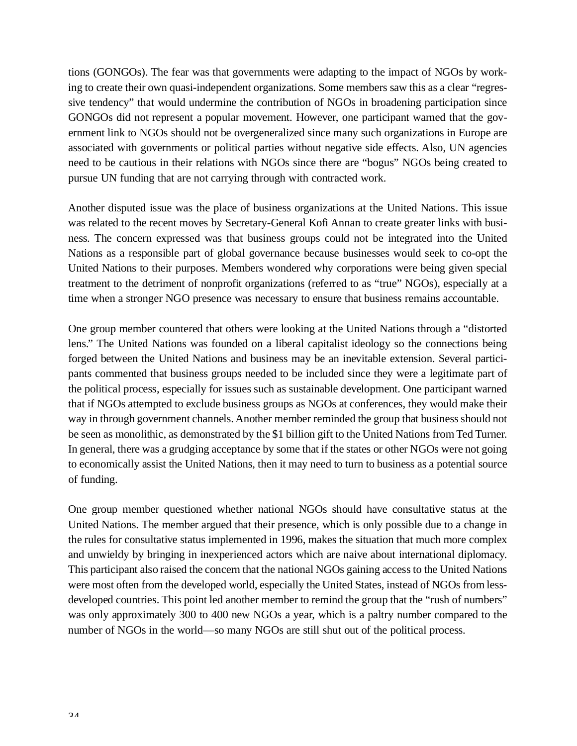tions (GONGOs). The fear was that governments were adapting to the impact of NGOs by working to create their own quasi-independent organizations. Some members saw this as a clear "regressive tendency" that would undermine the contribution of NGOs in broadening participation since GONGOs did not represent a popular movement. However, one participant warned that the government link to NGOs should not be overgeneralized since many such organizations in Europe are associated with governments or political parties without negative side effects. Also, UN agencies need to be cautious in their relations with NGOs since there are "bogus" NGOs being created to pursue UN funding that are not carrying through with contracted work.

Another disputed issue was the place of business organizations at the United Nations. This issue was related to the recent moves by Secretary-General Kofi Annan to create greater links with business. The concern expressed was that business groups could not be integrated into the United Nations as a responsible part of global governance because businesses would seek to co-opt the United Nations to their purposes. Members wondered why corporations were being given special treatment to the detriment of nonprofit organizations (referred to as "true" NGOs), especially at a time when a stronger NGO presence was necessary to ensure that business remains accountable.

One group member countered that others were looking at the United Nations through a "distorted lens." The United Nations was founded on a liberal capitalist ideology so the connections being forged between the United Nations and business may be an inevitable extension. Several participants commented that business groups needed to be included since they were a legitimate part of the political process, especially for issues such as sustainable development. One participant warned that if NGOs attempted to exclude business groups as NGOs at conferences, they would make their way in through government channels. Another member reminded the group that business should not be seen as monolithic, as demonstrated by the \$1 billion gift to the United Nations from Ted Turner. In general, there was a grudging acceptance by some that if the states or other NGOs were not going to economically assist the United Nations, then it may need to turn to business as a potential source of funding.

One group member questioned whether national NGOs should have consultative status at the United Nations. The member argued that their presence, which is only possible due to a change in the rules for consultative status implemented in 1996, makes the situation that much more complex and unwieldy by bringing in inexperienced actors which are naive about international diplomacy. This participant also raised the concern that the national NGOs gaining access to the United Nations were most often from the developed world, especially the United States, instead of NGOs from lessdeveloped countries. This point led another member to remind the group that the "rush of numbers" was only approximately 300 to 400 new NGOs a year, which is a paltry number compared to the number of NGOs in the world—so many NGOs are still shut out of the political process.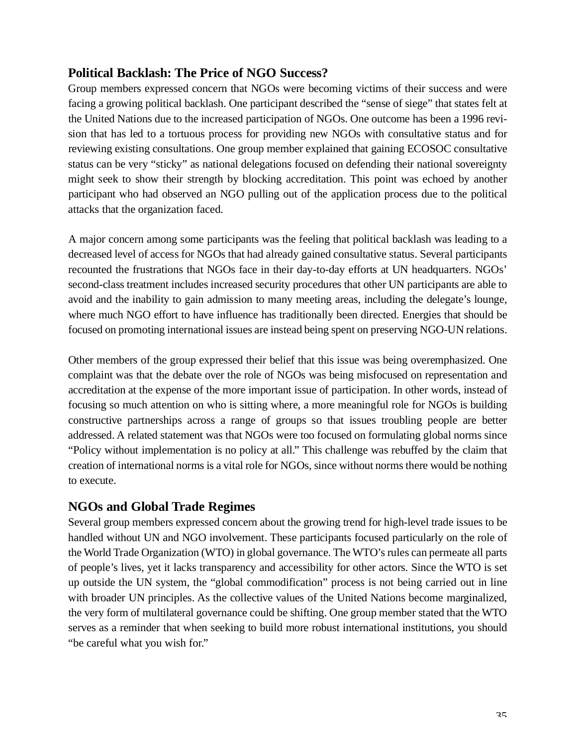### **Political Backlash: The Price of NGO Success?**

Group members expressed concern that NGOs were becoming victims of their success and were facing a growing political backlash. One participant described the "sense of siege" that states felt at the United Nations due to the increased participation of NGOs. One outcome has been a 1996 revision that has led to a tortuous process for providing new NGOs with consultative status and for reviewing existing consultations. One group member explained that gaining ECOSOC consultative status can be very "sticky" as national delegations focused on defending their national sovereignty might seek to show their strength by blocking accreditation. This point was echoed by another participant who had observed an NGO pulling out of the application process due to the political attacks that the organization faced.

A major concern among some participants was the feeling that political backlash was leading to a decreased level of access for NGOs that had already gained consultative status. Several participants recounted the frustrations that NGOs face in their day-to-day efforts at UN headquarters. NGOs' second-class treatment includes increased security procedures that other UN participants are able to avoid and the inability to gain admission to many meeting areas, including the delegate's lounge, where much NGO effort to have influence has traditionally been directed. Energies that should be focused on promoting international issues are instead being spent on preserving NGO-UN relations.

Other members of the group expressed their belief that this issue was being overemphasized. One complaint was that the debate over the role of NGOs was being misfocused on representation and accreditation at the expense of the more important issue of participation. In other words, instead of focusing so much attention on who is sitting where, a more meaningful role for NGOs is building constructive partnerships across a range of groups so that issues troubling people are better addressed. A related statement was that NGOs were too focused on formulating global norms since "Policy without implementation is no policy at all." This challenge was rebuffed by the claim that creation of international norms is a vital role for NGOs, since without norms there would be nothing to execute.

### **NGOs and Global Trade Regimes**

Several group members expressed concern about the growing trend for high-level trade issues to be handled without UN and NGO involvement. These participants focused particularly on the role of the World Trade Organization (WTO) in global governance. The WTO's rules can permeate all parts of people's lives, yet it lacks transparency and accessibility for other actors. Since the W TO is set up outside the UN system, the "global commodification" process is not being carried out in line with broader UN principles. As the collective values of the United Nations become marginalized, the very form of multilateral governance could be shifting. One group member stated that the W TO serves as a reminder that when seeking to build more robust international institutions, you should "be careful what you wish for."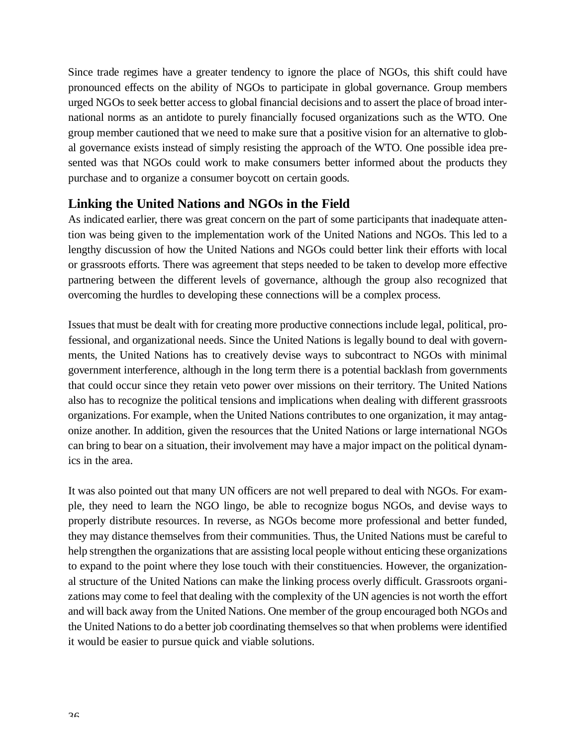Since trade regimes have a greater tendency to ignore the place of NGOs, this shift could have pronounced effects on the ability of NGOs to participate in global governance. Group members urged NGOs to seek better access to global financial decisions and to assert the place of broad international norms as an antidote to purely financially focused organizations such as the WTO. One group member cautioned that we need to make sure that a positive vision for an alternative to global governance exists instead of simply resisting the approach of the WTO. One possible idea presented was that NGOs could work to make consumers better informed about the products they purchase and to organize a consumer boycott on certain goods.

### **Linking the United Nations and NGOs in the Field**

As indicated earlier, there was great concern on the part of some participants that inadequate attention was being given to the implementation work of the United Nations and NGOs. This led to a lengthy discussion of how the United Nations and NGOs could better link their efforts with local or grassroots efforts. There was agreement that steps needed to be taken to develop more effective partnering between the different levels of governance, although the group also recognized that overcoming the hurdles to developing these connections will be a complex process.

Issues that must be dealt with for creating more productive connections include legal, political, professional, and organizational needs. Since the United Nations is legally bound to deal with governments, the United Nations has to creatively devise ways to subcontract to NGOs with minimal government interference, although in the long term there is a potential backlash from governments that could occur since they retain veto power over missions on their territory. The United Nations also has to recognize the political tensions and implications when dealing with different grassroots o rganizations. For example, when the United Nations contributes to one organization, it may antagonize another. In addition, given the resources that the United Nations or large international NGOs can bring to bear on a situation, their involvement may have a major impact on the political dynamics in the area.

It was also pointed out that many UN officers are not well prepared to deal with NGOs. For example, they need to learn the NGO lingo, be able to recognize bogus NGOs, and devise ways to properly distribute resources. In reverse, as NGOs become more professional and better funded, they may distance themselves from their communities. Thus, the United Nations must be careful to help strengthen the organizations that are assisting local people without enticing these organizations to expand to the point where they lose touch with their constituencies. However, the organizational structure of the United Nations can make the linking process overly difficult. Grassroots organizations may come to feel that dealing with the complexity of the UN agencies is not worth the effort and will back away from the United Nations. One member of the group encouraged both NGOs and the United Nations to do a better job coordinating themselves so that when problems were identified it would be easier to pursue quick and viable solutions.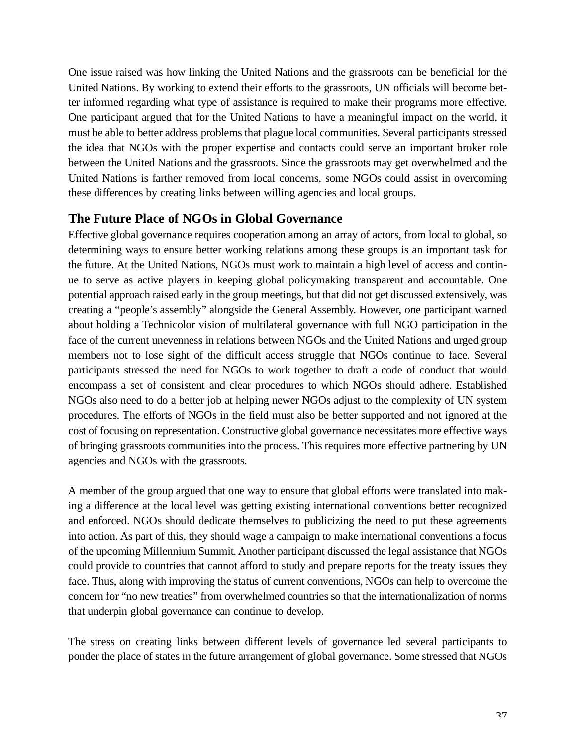One issue raised was how linking the United Nations and the grassroots can be beneficial for the United Nations. By working to extend their efforts to the grassroots, UN officials will become better informed regarding what type of assistance is required to make their programs more effective. One participant argued that for the United Nations to have a meaningful impact on the world, it must be able to better address problems that plague local communities. Several participants stressed the idea that NGOs with the proper expertise and contacts could serve an important broker role between the United Nations and the grassroots. Since the grassroots may get overwhelmed and the United Nations is farther removed from local concerns, some NGOs could assist in overcoming these differences by creating links between willing agencies and local groups.

### **The Future Place of NGOs in Global Governance**

Effective global governance requires cooperation among an array of actors, from local to global, so determining ways to ensure better working relations among these groups is an important task for the future. At the United Nations, NGOs must work to maintain a high level of access and continue to serve as active players in keeping global policymaking transparent and accountable. One potential approach raised early in the group meetings, but that did not get discussed extensively, was creating a "people's assembly" alongside the General Assembly. However, one participant warned about holding a Technicolor vision of multilateral governance with full NGO participation in the face of the current unevenness in relations between NGOs and the United Nations and urged group members not to lose sight of the difficult access struggle that NGOs continue to face. Several participants stressed the need for NGOs to work together to draft a code of conduct that would encompass a set of consistent and clear procedures to which NGOs should adhere. Established NGOs also need to do a better job at helping newer NGOs adjust to the complexity of UN system procedures. The efforts of NGOs in the field must also be better supported and not ignored at the cost of focusing on representation. Constructive global governance necessitates more effective ways of bringing grassroots communities into the process. This requires more effective partnering by UN agencies and NGOs with the grassroots.

A member of the group argued that one way to ensure that global efforts were translated into making a difference at the local level was getting existing international conventions better recognized and enforced. NGOs should dedicate themselves to publicizing the need to put these agreements into action. As part of this, they should wage a campaign to make international conventions a focus of the upcoming Millennium Summit. Another participant discussed the legal assistance that NGOs could provide to countries that cannot afford to study and prepare reports for the treaty issues they face. Thus, along with improving the status of current conventions, NGOs can help to overcome the concern for "no new treaties" from overwhelmed countries so that the internationalization of norms that underpin global governance can continue to develop.

The stress on creating links between different levels of governance led several participants to ponder the place of states in the future arrangement of global governance. Some stressed that NGOs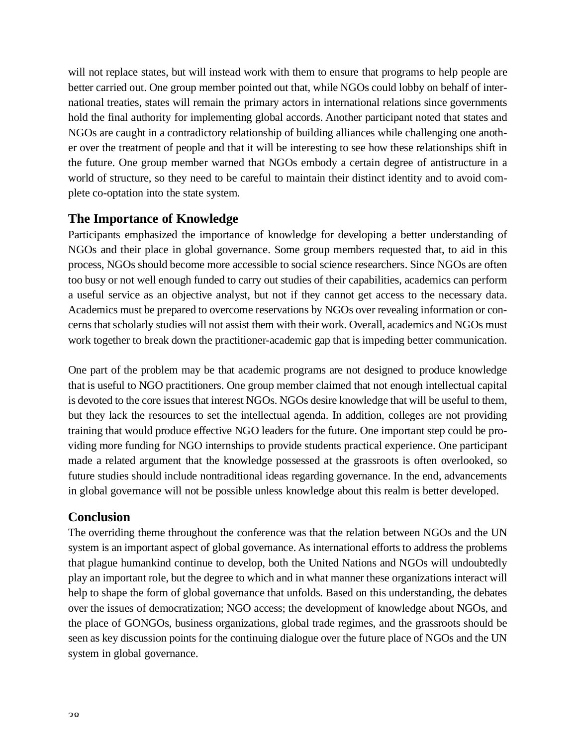will not replace states, but will instead work with them to ensure that programs to help people are better carried out. One group member pointed out that, while NGOs could lobby on behalf of international treaties, states will remain the primary actors in international relations since governments hold the final authority for implementing global accords. Another participant noted that states and NGOs are caught in a contradictory relationship of building alliances while challenging one another over the treatment of people and that it will be interesting to see how these relationships shift in the future. One group member warned that NGOs embody a certain degree of antistructure in a world of structure, so they need to be careful to maintain their distinct identity and to avoid complete co-optation into the state system.

#### **The Importance of Knowledge**

Participants emphasized the importance of knowledge for developing a better understanding of NGOs and their place in global governance. Some group members requested that, to aid in this process, NGOs should become more accessible to social science researchers. Since NGOs are often too busy or not well enough funded to carry out studies of their capabilities, academics can perform a useful service as an objective analyst, but not if they cannot get access to the necessary data. Academics must be prepared to overcome reservations by NGOs over revealing information or concerns that scholarly studies will not assist them with their work. Overall, academics and NGOs must work together to break down the practitioner-academic gap that is impeding better communication.

One part of the problem may be that academic programs are not designed to produce knowledge that is useful to NGO practitioners. One group member claimed that not enough intellectual capital is devoted to the core issues that interest NGOs. NGOs desire knowledge that will be useful to them, but they lack the resources to set the intellectual agenda. In addition, colleges are not providing training that would produce effective NGO leaders for the future. One important step could be providing more funding for NGO internships to provide students practical experience. One participant made a related argument that the knowledge possessed at the grassroots is often overlooked, so future studies should include nontraditional ideas regarding governance. In the end, advancements in global governance will not be possible unless knowledge about this realm is better developed.

### **Conclusion**

The overriding theme throughout the conference was that the relation between NGOs and the UN system is an important aspect of global governance. As international efforts to address the problems that plague humankind continue to develop, both the United Nations and NGOs will undoubtedly play an important role, but the degree to which and in what manner these organizations interact will help to shape the form of global governance that unfolds. Based on this understanding, the debates over the issues of democratization; NGO access; the development of knowledge about NGOs, and the place of GONGOs, business organizations, global trade regimes, and the grassroots should be seen as key discussion points for the continuing dialogue over the future place of NGOs and the UN system in global governance.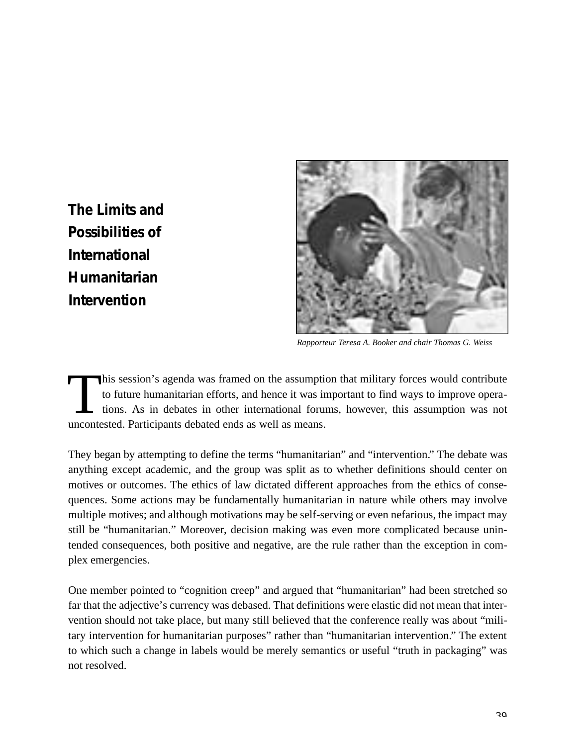<span id="page-38-0"></span>**The Limits and Possibilities of International Humanitarian Intervention**



*Rapporteur Teresa A. Booker and chair Thomas G. Weiss*

This session's agenda was framed on the assumptic to future humanitarian efforts, and hence it was in tions. As in debates in other international forur uncontested. Participants debated ends as well as means. his session's agenda was framed on the assumption that military forces would contribute to future humanitarian efforts, and hence it was important to find ways to improve operations. As in debates in other international forums, however, this assumption was not

They began by attempting to define the terms "humanitarian" and "intervention." The debate was anything except academic, and the group was split as to whether definitions should center on motives or outcomes. The ethics of law dictated different approaches from the ethics of consequences. Some actions may be fundamentally humanitarian in nature while others may involve multiple motives; and although motivations may be self-serving or even nefarious, the impact may still be "humanitarian." Moreover, decision making was even more complicated because unintended consequences, both positive and negative, are the rule rather than the exception in complex emergencies.

One member pointed to "cognition creep" and argued that "humanitarian" had been stretched so far that the adjective's currency was debased. That definitions were elastic did not mean that intervention should not take place, but many still believed that the conference really was about "military intervention for humanitarian purposes" rather than "humanitarian intervention." The extent to which such a change in labels would be merely semantics or useful "truth in packaging" was not resolved.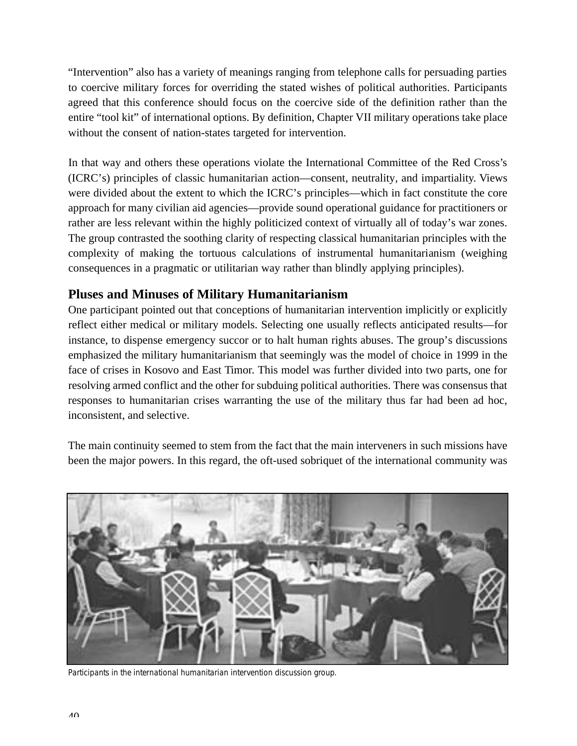"Intervention" also has a variety of meanings ranging from telephone calls for persuading parties to coercive military forces for overriding the stated wishes of political authorities. Participants agreed that this conference should focus on the coercive side of the definition rather than the entire "tool kit" of international options. By definition, Chapter VII military operations take place without the consent of nation-states targeted for intervention.

In that way and others these operations violate the International Committee of the Red Cross's (ICRC's) principles of classic humanitarian action—consent, neutrality, and impartiality. Views were divided about the extent to which the ICRC's principles—which in fact constitute the core approach for many civilian aid agencies—provide sound operational guidance for practitioners or rather are less relevant within the highly politicized context of virtually all of today's war zones. The group contrasted the soothing clarity of respecting classical humanitarian principles with the complexity of making the tortuous calculations of instrumental humanitarianism (weighing consequences in a pragmatic or utilitarian way rather than blindly applying principles).

### **Pluses and Minuses of Military Humanitarianism**

One participant pointed out that conceptions of humanitarian intervention implicitly or explicitly reflect either medical or military models. Selecting one usually reflects anticipated results—for instance, to dispense emergency succor or to halt human rights abuses. The group's discussions emphasized the military humanitarianism that seemingly was the model of choice in 1999 in the face of crises in Kosovo and East Timor. This model was further divided into two parts, one for resolving armed conflict and the other for subduing political authorities. There was consensus that responses to humanitarian crises warranting the use of the military thus far had been ad hoc, inconsistent, and selective.

The main continuity seemed to stem from the fact that the main interveners in such missions have been the major powers. In this regard, the oft-used sobriquet of the international community was



*Participants in the international humanitarian intervention discussion group.*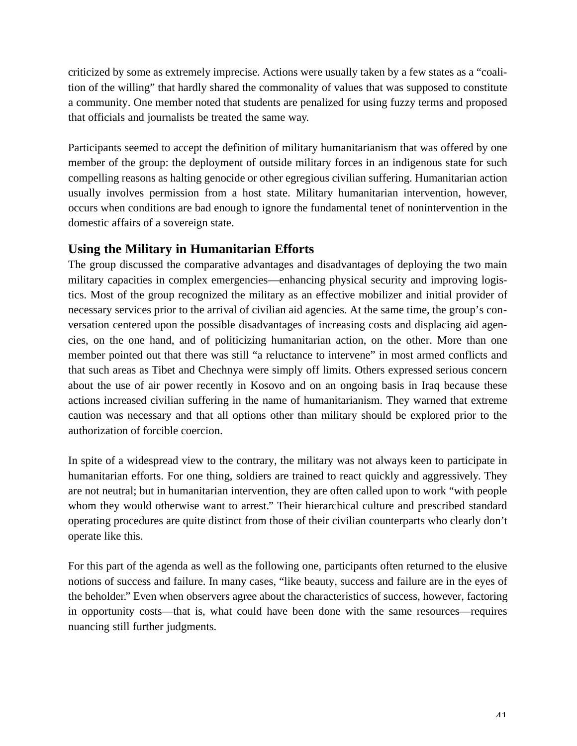criticized by some as extremely imprecise. Actions were usually taken by a few states as a "coalition of the willing" that hardly shared the commonality of values that was supposed to constitute a community. One member noted that students are penalized for using fuzzy terms and proposed that officials and journalists be treated the same way.

Participants seemed to accept the definition of military humanitarianism that was offered by one member of the group: the deployment of outside military forces in an indigenous state for such compelling reasons as halting genocide or other egregious civilian suffering. Humanitarian action usually involves permission from a host state. Military humanitarian intervention, however, occurs when conditions are bad enough to ignore the fundamental tenet of nonintervention in the domestic affairs of a sovereign state.

### **Using the Military in Humanitarian Efforts**

The group discussed the comparative advantages and disadvantages of deploying the two main military capacities in complex emergencies—enhancing physical security and improving logistics. Most of the group recognized the military as an effective mobilizer and initial provider of necessary services prior to the arrival of civilian aid agencies. At the same time, the group's conversation centered upon the possible disadvantages of increasing costs and displacing aid agencies, on the one hand, and of politicizing humanitarian action, on the other. More than one member pointed out that there was still "a reluctance to intervene" in most armed conflicts and that such areas as Tibet and Chechnya were simply off limits. Others expressed serious concern about the use of air power recently in Kosovo and on an ongoing basis in Iraq because these actions increased civilian suffering in the name of humanitarianism. They warned that extreme caution was necessary and that all options other than military should be explored prior to the authorization of forcible coercion.

In spite of a widespread view to the contrary, the military was not always keen to participate in humanitarian efforts. For one thing, soldiers are trained to react quickly and aggressively. They are not neutral; but in humanitarian intervention, they are often called upon to work "with people whom they would otherwise want to arrest." Their hierarchical culture and prescribed standard operating procedures are quite distinct from those of their civilian counterparts who clearly don't operate like this.

For this part of the agenda as well as the following one, participants often returned to the elusive notions of success and failure. In many cases, "like beauty, success and failure are in the eyes of the beholder." Even when observers agree about the characteristics of success, however, factoring in opportunity costs—that is, what could have been done with the same resources—requires nuancing still further judgments.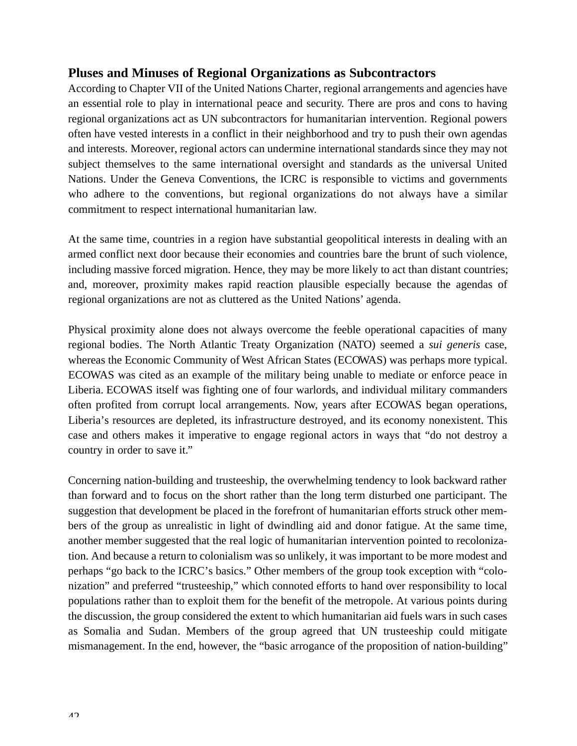#### **Pluses and Minuses of Regional Organizations as Subcontractors**

According to Chapter VII of the United Nations Charter, regional arrangements and agencies have an essential role to play in international peace and security. There are pros and cons to having regional organizations act as UN subcontractors for humanitarian intervention. Regional powers often have vested interests in a conflict in their neighborhood and try to push their own agendas and interests. Moreover, regional actors can undermine international standards since they may not subject themselves to the same international oversight and standards as the universal United Nations. Under the Geneva Conventions, the ICRC is responsible to victims and governments who adhere to the conventions, but regional organizations do not always have a similar commitment to respect international humanitarian law.

At the same time, countries in a region have substantial geopolitical interests in dealing with an armed conflict next door because their economies and countries bare the brunt of such violence, including massive forced migration. Hence, they may be more likely to act than distant countries; and, moreover, proximity makes rapid reaction plausible especially because the agendas of regional organizations are not as cluttered as the United Nations' agenda.

Physical proximity alone does not always overcome the feeble operational capacities of many regional bodies. The North Atlantic Treaty Organization (NATO) seemed a *sui generis* case, whereas the Economic Community of West African States (ECOWAS) was perhaps more typical. ECOWAS was cited as an example of the military being unable to mediate or enforce peace in Liberia. ECOWAS itself was fighting one of four warlords, and individual military commanders often profited from corrupt local arrangements. Now, years after ECOWAS began operations, Liberia's resources are depleted, its infrastructure destroyed, and its economy nonexistent. This case and others makes it imperative to engage regional actors in ways that "do not destroy a country in order to save it."

Concerning nation-building and trusteeship, the overwhelming tendency to look backward rather than forward and to focus on the short rather than the long term disturbed one participant. The suggestion that development be placed in the forefront of humanitarian efforts struck other members of the group as unrealistic in light of dwindling aid and donor fatigue. At the same time, another member suggested that the real logic of humanitarian intervention pointed to recolonization. And because a return to colonialism was so unlikely, it was important to be more modest and perhaps "go back to the ICRC's basics." Other members of the group took exception with "colonization" and preferred "trusteeship," which connoted efforts to hand over responsibility to local populations rather than to exploit them for the benefit of the metropole. At various points during the discussion, the group considered the extent to which humanitarian aid fuels wars in such cases as Somalia and Sudan. Members of the group agreed that UN trusteeship could mitigate mismanagement. In the end, however, the "basic arrogance of the proposition of nation-building"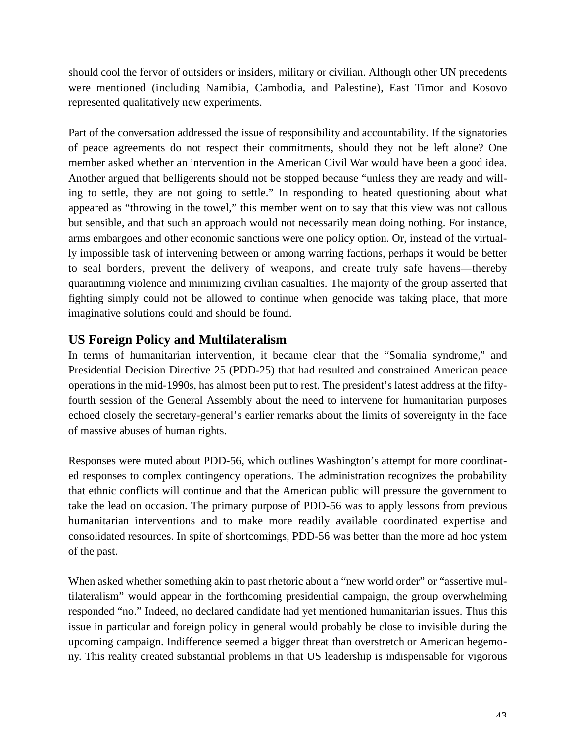should cool the fervor of outsiders or insiders, military or civilian. Although other UN precedents were mentioned (including Namibia, Cambodia, and Palestine), East Timor and Kosovo represented qualitatively new experiments.

Part of the conversation addressed the issue of responsibility and accountability. If the signatories of peace agreements do not respect their commitments, should they not be left alone? One member asked whether an intervention in the American Civil War would have been a good idea. Another argued that belligerents should not be stopped because "unless they are ready and willing to settle, they are not going to settle." In responding to heated questioning about what appeared as "throwing in the towel," this member went on to say that this view was not callous but sensible, and that such an approach would not necessarily mean doing nothing. For instance, arms embargoes and other economic sanctions were one policy option. Or, instead of the virtually impossible task of intervening between or among warring factions, perhaps it would be better to seal borders, prevent the delivery of weapons, and create truly safe havens—thereby quarantining violence and minimizing civilian casualties. The majority of the group asserted that fighting simply could not be allowed to continue when genocide was taking place, that more imaginative solutions could and should be found.

### **US Foreign Policy and Multilateralism**

In terms of humanitarian intervention, it became clear that the "Somalia syndrome," and Presidential Decision Directive 25 (PDD-25) that had resulted and constrained American peace operations in the mid-1990s, has almost been put to rest. The president's latest address at the fiftyfourth session of the General Assembly about the need to intervene for humanitarian purposes echoed closely the secretary-general's earlier remarks about the limits of sovereignty in the face of massive abuses of human rights.

Responses were muted about PDD-56, which outlines Washington's attempt for more coordinated responses to complex contingency operations. The administration recognizes the probability that ethnic conflicts will continue and that the American public will pressure the government to take the lead on occasion. The primary purpose of PDD-56 was to apply lessons from previous humanitarian interventions and to make more readily available coordinated expertise and consolidated resources. In spite of shortcomings, PDD-56 was better than the more ad hoc ystem of the past.

When asked whether something akin to past rhetoric about a "new world order" or "assertive multilateralism" would appear in the forthcoming presidential campaign, the group overwhelming responded "no." Indeed, no declared candidate had yet mentioned humanitarian issues. Thus this issue in particular and foreign policy in general would probably be close to invisible during the upcoming campaign. Indifference seemed a bigger threat than overstretch or American hegemony. This reality created substantial problems in that US leadership is indispensable for vigorous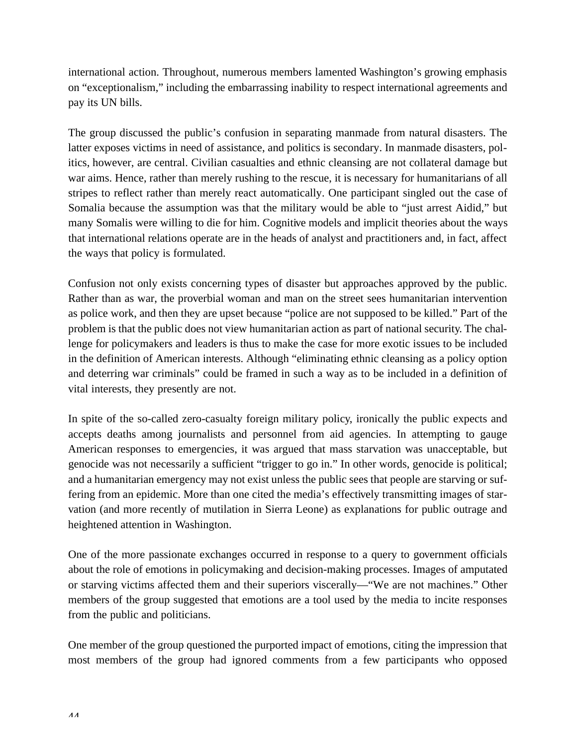international action. Throughout, numerous members lamented Washington's growing emphasis on "exceptionalism," including the embarrassing inability to respect international agreements and pay its UN bills.

The group discussed the public's confusion in separating manmade from natural disasters. The latter exposes victims in need of assistance, and politics is secondary. In manmade disasters, politics, however, are central. Civilian casualties and ethnic cleansing are not collateral damage but war aims. Hence, rather than merely rushing to the rescue, it is necessary for humanitarians of all stripes to reflect rather than merely react automatically. One participant singled out the case of Somalia because the assumption was that the military would be able to "just arrest Aidid," but many Somalis were willing to die for him. Cognitive models and implicit theories about the ways that international relations operate are in the heads of analyst and practitioners and, in fact, affect the ways that policy is formulated.

Confusion not only exists concerning types of disaster but approaches approved by the public. Rather than as war, the proverbial woman and man on the street sees humanitarian intervention as police work, and then they are upset because "police are not supposed to be killed." Part of the problem is that the public does not view humanitarian action as part of national security. The challenge for policymakers and leaders is thus to make the case for more exotic issues to be included in the definition of American interests. Although "eliminating ethnic cleansing as a policy option and deterring war criminals" could be framed in such a way as to be included in a definition of vital interests, they presently are not.

In spite of the so-called zero-casualty foreign military policy, ironically the public expects and accepts deaths among journalists and personnel from aid agencies. In attempting to gauge American responses to emergencies, it was argued that mass starvation was unacceptable, but genocide was not necessarily a sufficient "trigger to go in." In other words, genocide is political; and a humanitarian emergency may not exist unless the public sees that people are starving or suffering from an epidemic. More than one cited the media's effectively transmitting images of starvation (and more recently of mutilation in Sierra Leone) as explanations for public outrage and heightened attention in Washington.

One of the more passionate exchanges occurred in response to a query to government officials about the role of emotions in policymaking and decision-making processes. Images of amputated or starving victims affected them and their superiors viscerally—"We are not machines." Other members of the group suggested that emotions are a tool used by the media to incite responses from the public and politicians.

One member of the group questioned the purported impact of emotions, citing the impression that most members of the group had ignored comments from a few participants who opposed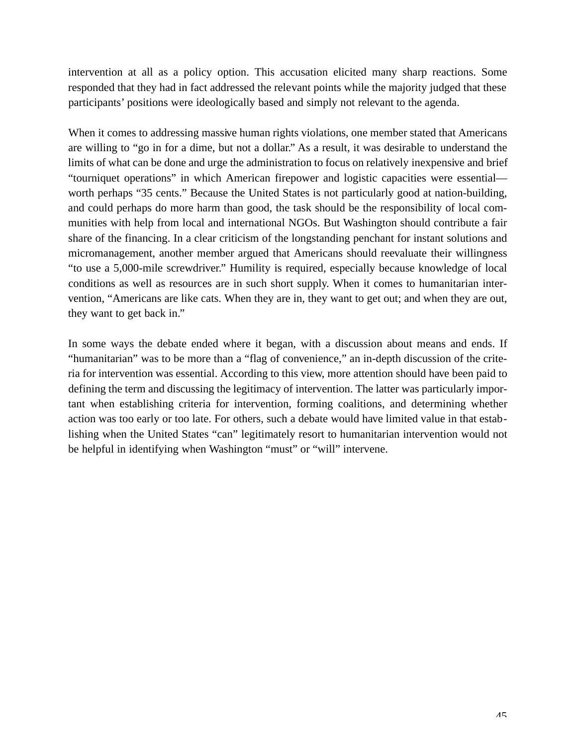intervention at all as a policy option. This accusation elicited many sharp reactions. Some responded that they had in fact addressed the relevant points while the majority judged that these participants' positions were ideologically based and simply not relevant to the agenda.

When it comes to addressing massive human rights violations, one member stated that Americans are willing to "go in for a dime, but not a dollar." As a result, it was desirable to understand the limits of what can be done and urge the administration to focus on relatively inexpensive and brief "tourniquet operations" in which American firepower and logistic capacities were essential worth perhaps "35 cents." Because the United States is not particularly good at nation-building, and could perhaps do more harm than good, the task should be the responsibility of local communities with help from local and international NGOs. But Washington should contribute a fair share of the financing. In a clear criticism of the longstanding penchant for instant solutions and micromanagement, another member argued that Americans should reevaluate their willingness "to use a 5,000-mile screwdriver." Humility is required, especially because knowledge of local conditions as well as resources are in such short supply. When it comes to humanitarian intervention, "Americans are like cats. When they are in, they want to get out; and when they are out, they want to get back in."

In some ways the debate ended where it began, with a discussion about means and ends. If "humanitarian" was to be more than a "flag of convenience," an in-depth discussion of the criteria for intervention was essential. According to this view, more attention should have been paid to defining the term and discussing the legitimacy of intervention. The latter was particularly important when establishing criteria for intervention, forming coalitions, and determining whether action was too early or too late. For others, such a debate would have limited value in that establishing when the United States "can" legitimately resort to humanitarian intervention would not be helpful in identifying when Washington "must" or "will" intervene.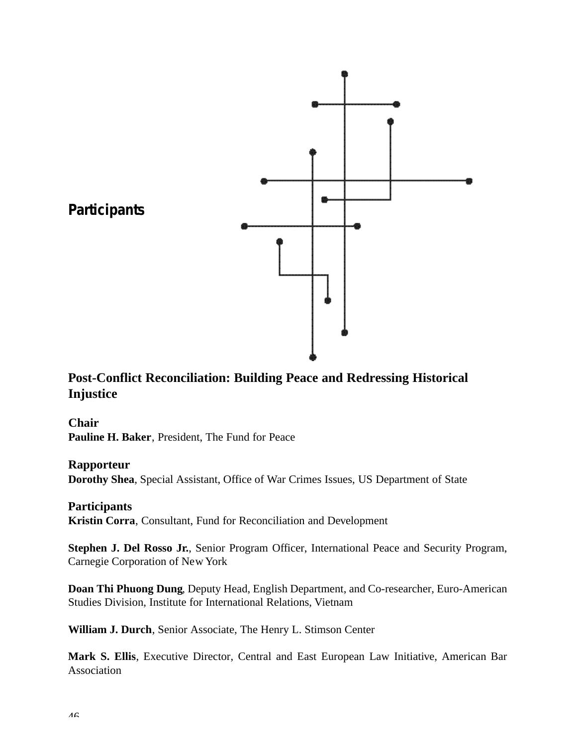<span id="page-45-0"></span>

### **Post-Conflict Reconciliation: Building Peace and Redressing Historical Injustice**

#### **Chair**

**Pauline H. Baker**, President, The Fund for Peace

#### **Rapporteur**

**Dorothy Shea**, Special Assistant, Office of War Crimes Issues, US Department of State

#### **Participants**

**Kristin Corra**, Consultant, Fund for Reconciliation and Development

**Stephen J. Del Rosso Jr.**, Senior Program Officer, International Peace and Security Program, Carnegie Corporation of New York

**Doan Thi Phuong Dung**, Deputy Head, English Department, and Co-researcher, Euro-American Studies Division, Institute for International Relations, Vietnam

**William J. Durch**, Senior Associate, The Henry L. Stimson Center

**Mark S. Ellis**, Executive Director, Central and East European Law Initiative, American Bar Association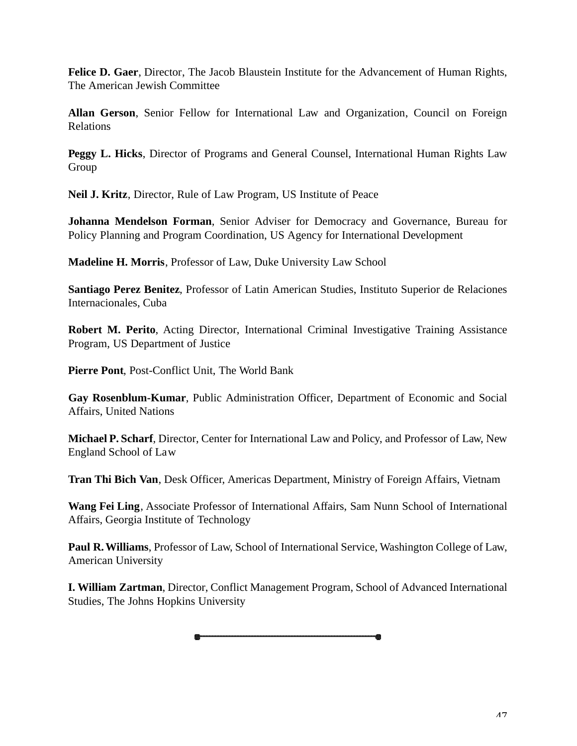**Felice D. Gaer**, Director, The Jacob Blaustein Institute for the Advancement of Human Rights, The American Jewish Committee

Allan Gerson, Senior Fellow for International Law and Organization, Council on Foreign Relations

**Peggy L. Hicks**, Director of Programs and General Counsel, International Human Rights Law Group

**Neil J. Kritz**, Director, Rule of Law Program, US Institute of Peace

**Johanna Mendelson Forman**, Senior Adviser for Democracy and Governance, Bureau for Policy Planning and Program Coordination, US Agency for International Development

**Madeline H. Morris**, Professor of Law, Duke University Law School

**Santiago Perez Benitez**, Professor of Latin American Studies, Instituto Superior de Relaciones Internacionales, Cuba

**Robert M. Perito**, Acting Director, International Criminal Investigative Training Assistance Program, US Department of Justice

**Pierre Pont**, Post-Conflict Unit, The World Bank

**Gay Rosenblum-Kumar**, Public Administration Officer, Department of Economic and Social Affairs, United Nations

**Michael P. Scharf**, Director, Center for International Law and Policy, and Professor of Law, New England School of Law

**Tran Thi Bich Van**, Desk Officer, Americas Department, Ministry of Foreign Affairs, Vietnam

**Wang Fei Ling**, Associate Professor of International Affairs, Sam Nunn School of International Affairs, Georgia Institute of Technology

**Paul R. Williams**, Professor of Law, School of International Service, Washington College of Law, American University

**I. William Zartman**, Director, Conflict Management Program, School of Advanced International Studies, The Johns Hopkins University

疊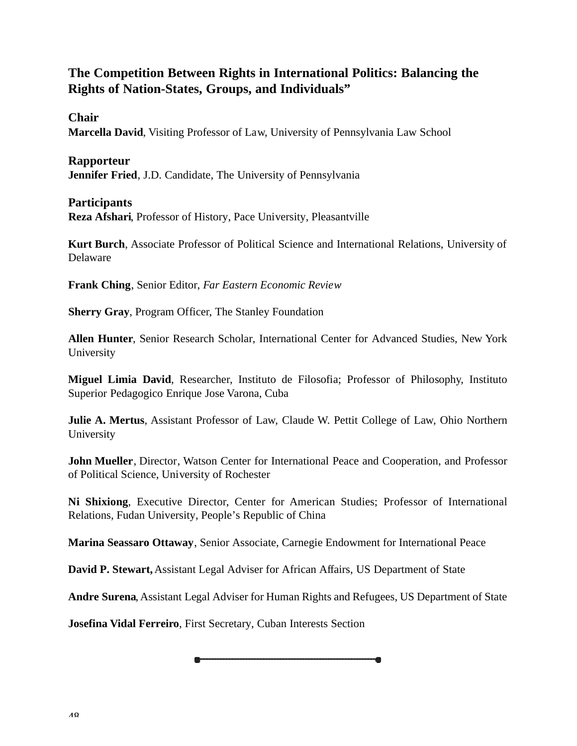### **The Competition Between Rights in International Politics: Balancing the Rights of Nation-States, Groups, and Individuals"**

**Chair**

**Marcella David**, Visiting Professor of Law, University of Pennsylvania Law School

**Rapporteur**

**Jennifer Fried**, J.D. Candidate, The University of Pennsylvania

#### **Participants**

**Reza Afshari**, Professor of History, Pace University, Pleasantville

**Kurt Burch**, Associate Professor of Political Science and International Relations, University of Delaware

**Frank Ching**, Senior Editor, *Far Eastern Economic Review*

**Sherry Gray**, Program Officer, The Stanley Foundation

**Allen Hunter**, Senior Research Scholar, International Center for Advanced Studies, New York University

**Miguel Limia David, Researcher, Instituto de Filosofia; Professor of Philosophy, Instituto** Superior Pedagogico Enrique Jose Varona, Cuba

**Julie A. Mertus**, Assistant Professor of Law, Claude W. Pettit College of Law, Ohio Northern University

**John Mueller**, Director, Watson Center for International Peace and Cooperation, and Professor of Political Science, University of Rochester

Ni Shixiong, Executive Director, Center for American Studies; Professor of International Relations, Fudan University, People's Republic of China

**Marina Seassaro Ottaway**, Senior Associate, Carnegie Endowment for International Peace

**David P. Stewart,**Assistant Legal Adviser for African Affairs, US Department of State

**Andre Surena**, Assistant Legal Adviser for Human Rights and Refugees, US Department of State

**Josefina Vidal Ferreiro**, First Secretary, Cuban Interests Section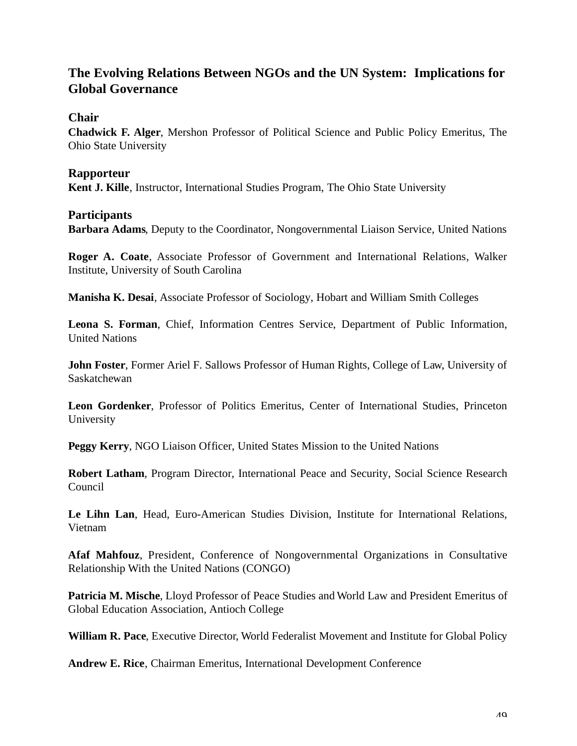### **The Evolving Relations Between NGOs and the UN System: Implications for Global Governance**

**Chair**

**Chadwick F. Alger**, Mershon Professor of Political Science and Public Policy Emeritus, The Ohio State University

#### **Rapporteur**

**Kent J. Kille**, Instructor, International Studies Program, The Ohio State University

#### **Participants**

**Barbara Adams**, Deputy to the Coordinator, Nongovernmental Liaison Service, United Nations

**Roger A. Coate**, Associate Professor of Government and International Relations, Walker Institute, University of South Carolina

**Manisha K. Desai**, Associate Professor of Sociology, Hobart and William Smith Colleges

Leona S. Forman, Chief, Information Centres Service, Department of Public Information, United Nations

**John Foster**, Former Ariel F. Sallows Professor of Human Rights, College of Law, University of Saskatchewan

**Leon Gordenker**, Professor of Politics Emeritus, Center of International Studies, Princeton University

**Peggy Kerry**, NGO Liaison Officer, United States Mission to the United Nations

**Robert Latham**, Program Director, International Peace and Security, Social Science Research Council

**Le Lihn Lan**, Head, Euro-American Studies Division, Institute for International Relations, Vietnam

**Afaf Mahfouz, President, Conference of Nongovernmental Organizations in Consultative** Relationship With the United Nations (CONGO)

**Patricia M. Mische**, Lloyd Professor of Peace Studies and World Law and President Emeritus of Global Education Association, Antioch College

**William R. Pace**, Executive Director, World Federalist Movement and Institute for Global Policy

**Andrew E. Rice**, Chairman Emeritus, International Development Conference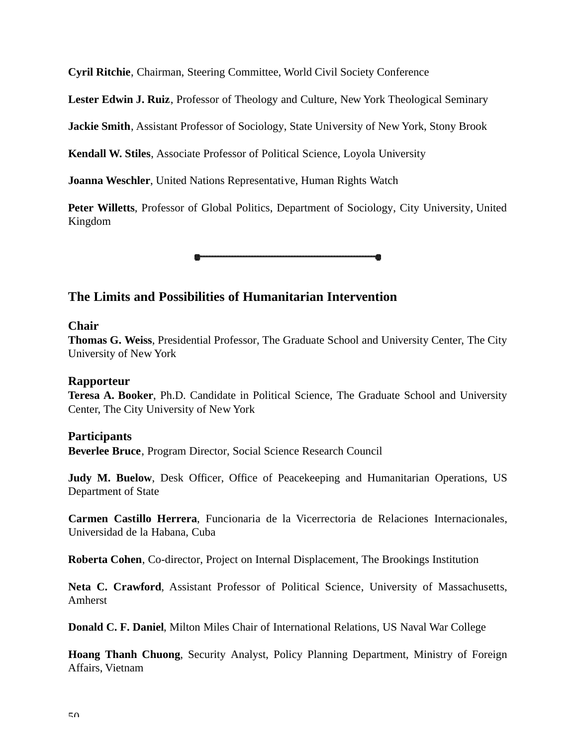**Cyril Ritchie**, Chairman, Steering Committee, World Civil Society Conference

**Lester Edwin J. Ruiz**, Professor of Theology and Culture, New York Theological Seminary

**Jackie Smith**, Assistant Professor of Sociology, State University of New York, Stony Brook

**Kendall W. Stiles**, Associate Professor of Political Science, Loyola University

**Joanna Weschler**, United Nations Representative, Human Rights Watch

**Peter Willetts**, Professor of Global Politics, Department of Sociology, City University, United Kingdom

### **The Limits and Possibilities of Humanitarian Intervention**

#### **Chair**

**Thomas G. Weiss**, Presidential Professor, The Graduate School and University Center, The City University of New York

#### **Rapporteur**

**Teresa A. Booker**, Ph.D. Candidate in Political Science, The Graduate School and University Center, The City University of New York

#### **Participants**

**Beverlee Bruce**, Program Director, Social Science Research Council

**Judy M. Buelow**, Desk Officer, Office of Peacekeeping and Humanitarian Operations, US Department of State

**Carmen Castillo Herrera**, Funcionaria de la Vicerrectoria de Relaciones Internacionales, Universidad de la Habana, Cuba

**Roberta Cohen**, Co-director, Project on Internal Displacement, The Brookings Institution

**Neta C. Crawford, Assistant Professor of Political Science, University of Massachusetts,** Amherst

**Donald C. F. Daniel**, Milton Miles Chair of International Relations, US Naval War College

**Hoang Thanh Chuong**, Security Analyst, Policy Planning Department, Ministry of Foreign Affairs, Vietnam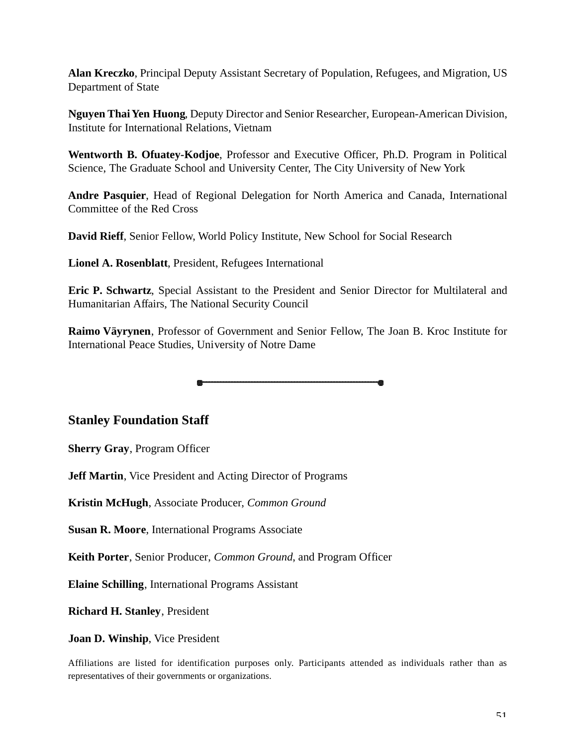**Alan Kreczko**, Principal Deputy Assistant Secretary of Population, Refugees, and Migration, US Department of State

**Nguyen Thai Yen Huong**, Deputy Director and Senior Researcher, European-American Division, Institute for International Relations, Vietnam

**Wentworth B. Ofuatey-Kodjoe**, Professor and Executive Officer, Ph.D. Program in Political Science, The Graduate School and University Center, The City University of New York

**Andre Pasquier**, Head of Regional Delegation for North America and Canada, International Committee of the Red Cross

**David Rieff**, Senior Fellow, World Policy Institute, New School for Social Research

**Lionel A. Rosenblatt**, President, Refugees International

**Eric P. Schwartz**, Special Assistant to the President and Senior Director for Multilateral and Humanitarian Affairs, The National Security Council

**Raimo Väyrynen**, Professor of Government and Senior Fellow, The Joan B. Kroc Institute for International Peace Studies, University of Notre Dame

**Stanley Foundation Staff**

**Sherry Gray**, Program Officer

**Jeff Martin**, Vice President and Acting Director of Programs

**Kristin McHugh**, Associate Producer, *Common Ground*

**Susan R. Moore**, International Programs Associate

**Keith Porter**, Senior Producer, *Common Ground*, and Program Officer

**Elaine Schilling**, International Programs Assistant

**Richard H. Stanley**, President

**Joan D. Winship**, Vice President

A ffiliations are listed for identification purposes only. Participants attended as individuals rather than as representatives of their governments or organizations.